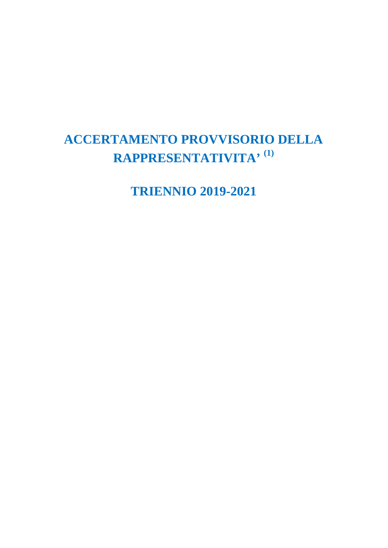# **ACCERTAMENTO PROVVISORIO DELLA RAPPRESENTATIVITA' (1)**

**TRIENNIO 2019-2021**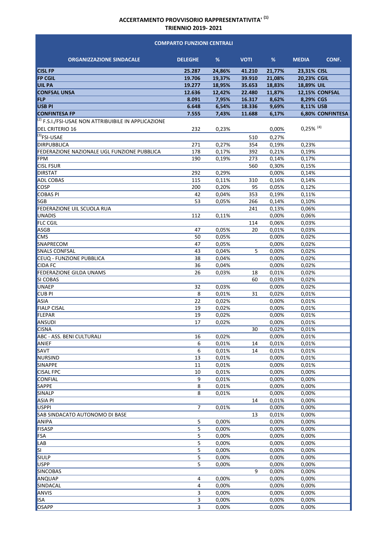#### **ORGANIZZAZIONE SINDACALE DELEGHE % VOTI % MEDIA CONF. CISL FP 25.287 24,86% 41.210 21,77% 23,31% CISL FP CGIL 19.706 19,37% 39.910 21,08% 20,23% CGIL UIL PA 19.277 18,95% 35.653 18,83% 18,89% UIL CONFSAL UNSA 12.636 12,42% 22.480 11,87% 12,15% CONFSAL FLP 8.091 7,95% 16.317 8,62% 8,29% CGS USB PI 6.648 6,54% 18.336 9,69% 8,11% USB CONFINTESA FP 7.555 7,43% 11.688 6,17% 6,80% CONFINTESA**  $\overline{^{(2)}}$  F.S.I./FSI-USAE NON ATTRIBUIBILE IN APPLICAZIONE DEL CRITERIO 16 232 0,23% 0,00% (3)FSI‐USAE 510 0,27% DIRPUBBLICA 271 0,27% 354 0,19% 0,23% FEDERAZIONE NAZIONALE UGL FUNZIONE PUBBLICA  $178$  0,17% 392 0,21% 0,19% FPM 190 0,19% 273 0,14% 0,17% CISL FSUR 560 0,30% 0,15% DIRSTAT 292 0,29% 0,00% 0,14% ADL COBAS 2001 2002 2003 2004 2015 2016 2017 2018 2019 2017 2018 2019 2017 2018 2019 2017 2018 2019 2019 2017 20  $COSP$  200 0,20% 95 0,05% 0,12% COBAS PI 42 0,04% 353 0,19% 0,11% SGB 53 0,05% 266 0,14% 0,10% FEDERAZIONE UIL SCUOLA RUA 241 0.13% 0.06% UNADIS 112 0,11% 0,00% 0,06% FLC CGIL 114 0,06% 0,03% ASGB 47 0,05% 20 0,01% 0,03% CMS 60,02% 0,02% 0,02% 0,02% 0,02% 0,02% 0,02% SNAPRECOM 47 0,05% 0,00% 0,02% SNALS CONFSAL 43 0,04% 5 0,00% 0,02% CEUQ - FUNZIONE PUBBLICA and a state of the state of the state of the state of the state of the state of the state of the state of the state of the state of the state of the state of the state of the state of the state of  $CDA FC$   $36$   $0,04\%$   $0,00\%$   $0,02\%$ FEDERAZIONE GILDA UNAMS 26 0,03% 18 0,01% 0,02%  $\sim$  SI COBAS 0,02% 0,02% UNAEP 32 0,03% 0,00% 0,02% CUB PI 8  $0.01\%$  31  $0.02\%$  0,01% ASIA 22 0,02% 0,00% 0,01% FIALP CISAL 19 0,02% 0,00% 0,01% FLEPAR 19 0,02% 0,00% 0,01%  $\rm ANSUDI$  17  $\rm 0,02\%$  0,00% 0,01% CISNA 30 0,02% 0,01% ABC ‐ ASS. BENI CULTURALI 16 0,02% 0,00% 0,01% ANIEF 2001 2001 2002 2003 2004 2005 2006 2007 2008 2009 2014 2014 2014 2014 2014 2014 2014 2015 2016 2017 2017 SAVT 6 0,01% 14 0,01% 0,01% NURSIND  $13 \t 0.01\%$  0,00% 0,01%  $\text{SINAPPE}$  0,01% 0,00% 0,01% CISAL FPC 10 10 10 0,01% 0,00% 0,00% 0,00%  $\text{CONF}(\text{CONFIAL} \quad \text{S/N} \quad \text{S/N} \quad \text{S/N} \quad \text{S/N} \quad \text{S/N} \quad \text{S/N} \quad \text{S/N} \quad \text{S/N} \quad \text{S/N} \quad \text{S/N} \quad \text{S/N} \quad \text{S/N} \quad \text{S/N} \quad \text{S/N} \quad \text{S/N} \quad \text{S/N} \quad \text{S/N} \quad \text{S/N} \quad \text{S/N} \quad \text{S/N} \quad \text{S/N} \quad \text{S/N} \quad \text{S/N} \quad \text{S/N} \quad \text{S/N} \quad \text{S/N$  $\text{SAPPE}$  , and the contract of the contract of the contract of the contract of the contract of the contract of the contract of the contract of the contract of the contract of the contract of the contract of the contract  $\text{SINALP} \quad \text{S} \quad \text{S} \quad \text{O},01\% \quad \text{O},00\% \quad \text{O},00\%$ ASIA PI 14 0,01% 0,00% USPPI 7 0,01% 0,00% 0,00% SAB SINDACATO AUTONOMO DI BASE 13 0,01% 0,00% ANIPA 5 0,00% 0,00% 0,00% FISASP 5 0,00% 0,00% 0,00% FSA 5 0,00% 0,00% 0,00% LAB 5 0,00% 0,00% 0,00% SI 5 0,00% 0,00% 0,00% SIULP 5 0,00% 0,00% 0,00% USPP 5 0,00% 0,00% 0,00% SINCOBAS 9 0,00% 0,00%  $A\rightarrow A\rightarrow A\rightarrow 0,00\%$  0,00% 0,00% 0,00% SINDACAL 4 0,00% 0,00% 0,00%  $\text{ANVIS} \quad \text{ADR} \quad \text{ADR} \quad \text{ADR} \quad \text{ADR} \quad \text{ADR} \quad \text{ADR} \quad \text{ADR} \quad \text{ADR} \quad \text{ADR} \quad \text{ADR} \quad \text{ADR} \quad \text{ADR} \quad \text{ADR} \quad \text{ADR} \quad \text{ADR} \quad \text{ADR} \quad \text{ADR} \quad \text{ADR} \quad \text{ADR} \quad \text{ADR} \quad \text{ADR} \quad \text{ADR} \quad \text{ADR} \quad \text{ADR} \quad \text{ADR} \quad \text{ADR} \quad \text{AD$ ISA 3 0,00% 0,00% 0,00% OSAPP 3 0,00% 0,00% 0,00% **COMPARTO FUNZIONI CENTRALI** 0,25% (4)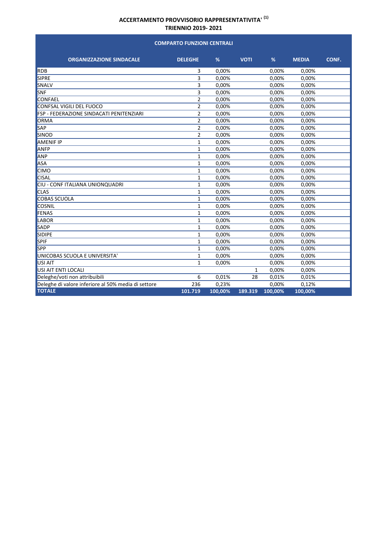#### **ORGANIZZAZIONE SINDACALE DELEGHE % VOTI % MEDIA CONF. COMPARTO FUNZIONI CENTRALI**  $RDB$  8  $RDB$  8  $RDB$  8  $0,00\%$  8  $0,00\%$  0,00% 0,00% 0,00% 0,00% 0,00% 0,00% 0,00% 0,00% 0,00% 0,00% 0,00% 0,00% 0,00% 0,00% 0,00% 0,00% 0,00% 0,00% 0,00% 0,00% 0,00 % 0,00 % 0,00 % 0,00 % 0,00 % 0,00 % 0,00 % 0,00 % 0,00 SIPRE 3 0,00% 0,00% 0,00%  $SNALV$  3 0,00% 0,00% 0,00% 0,00%  $\text{SNF}$  3 0,00% 0,00% 0,00% 0,00%  $\text{CONF}\ \text{E}$  2 0,00% 0,00% 0,00% 0,00% ertigment and the EU of OSS and CONFSAL VIGILI DEL FUOCO 1999 1000 1000 2 2 2 2 2 0,00% 0,000 0,00% 0,00% 0,00%<br>
2 2 0,00% 0,00% 0,00% 0,00% 0,00% 0,000 0,000 0,000 0,000 0,000 0,000 0,000 0,000 0,000 0,000 0,000 0,000 0,0 FSP - FEDERAZIONE SINDACATI PENITENZIARI 2 ORMA 2 0,00% 0,00% 0,00%  $\mathsf{SAP} \hspace{1.5cm} 2 \hspace{1.5cm} 0,00\% \hspace{1.5cm} 0,00\% \hspace{1.5cm} 0,00\% \hspace{1.5cm} 0,00\%$  $\text{SINDD} \quad 2 \quad 0.00\% \quad 0.00\% \quad 0.00\%$ AMENIF IP 1 0,00% 0,00% 0,00%  $AP = 1$   $0.00\%$   $0.00\%$   $0.00\%$   $0.00\%$  $AP$  and  $P$   $1$   $0.00\%$   $0.00\%$   $0.00\%$   $0.00\%$ ASA 1 0,00% 0,00% 0,00%  $1 \t 0.00\%$  0,00% 0,00% 0,00% CISAL 1 0,00% 0,00% 0,00% CIU ‐ CONF ITALIANA UNIONQUADRI 1 0,00% 0,00% 0,00%  $\text{CLAS}$  and the contract of the contract of the contract of the contract of the contract of the contract of the contract of the contract of the contract of the contract of the contract of the contract of the contract of COBAS SCUOLA 1 0,00% 0,00% 0,00%  $\rm{COSNIL}$   $\rm{COSNIL}$   $\rm{0.00\%}$   $\rm{0.00\%}$   $\rm{0.00\%}$   $\rm{0.00\%}$ FENAS 1 0,00% 0,00% 0,00% LABOR 1 0,00% 0,00% 0,00% SADP 1 0,00% 0,00% 0,00% SIDIPE 1 0,00% 0,00% 0,00% SPIF 1 0,00% 0,00% 0,00%  $SPP$  0,00% 0,00% 0,00% 0,00% 0,00% 0,00% 0,00% 0,00% 0,00% 0,00% 0,00% 0,00% 0,00% 0,00% 0,00% 0,00% 0,00% 0,00% 0,00% 0,00% 0,00% 0,00% 0,00 % 0,00 % 0,00 % 0,00 % 0,00 % 0,00 % 0,00 % 0,00 % 0,00 % 0,00 % 0,00 % 0,00 % UNICOBAS SCUOLA E UNIVERSITA' 
and the contract of the contract of the contract of the contract of the contract of the contract of the contract of the contract of the contract of the contract of the contract of the contrac USI AIT  $1 \t 0.00\%$  0,00% 0,00% 0,00% USI AIT ENTI LOCALI 2000 NOVEMBER 2000 NOVEMBER 2000 NOVEMBER 2000 NOVEMBER 2000 NOVEMBER 2000 NOVEMBER 2000 NO Deleghe/voti non attribuibili 6 0,01% 28 0,01% 0,01% Deleghe di valore inferiore al 50% media di settore 236 0,23% 0,00% 0,12% **TOTALE 101.719 100,00% 189.319 100,00% 100,00%**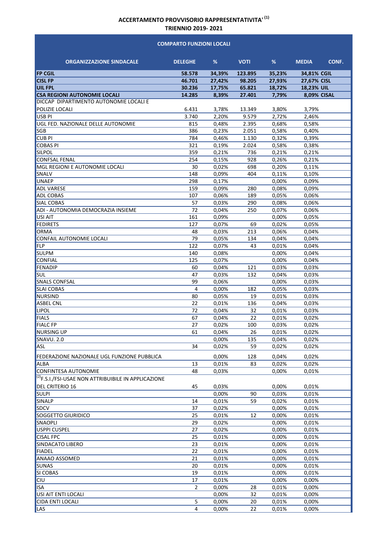#### **COMPARTO FUNZIONI LOCALI**

| <b>ORGANIZZAZIONE SINDACALE</b>                            | <b>DELEGHE</b>          | %              | <b>VOTI</b> | %              | CONF.<br><b>MEDIA</b> |
|------------------------------------------------------------|-------------------------|----------------|-------------|----------------|-----------------------|
| <b>FP CGIL</b>                                             | 58.578                  | 34,39%         | 123.895     | 35,23%         | 34,81% CGIL           |
| <b>CISL FP</b>                                             | 46.701                  | 27,42%         | 98.205      | 27,93%         | 27,67% CISL           |
| <b>UIL FPL</b>                                             | 30.236                  | 17,75%         | 65.821      | 18,72%         | 18,23% UIL            |
| <b>CSA REGIONI AUTONOMIE LOCALI</b>                        | 14.285                  | 8,39%          | 27.401      | 7,79%          | <b>8,09% CISAL</b>    |
| DICCAP DIPARTIMENTO AUTONOMIE LOCALI E                     |                         |                |             |                |                       |
| POLIZIE LOCALI                                             | 6.431                   | 3,78%          | 13.349      | 3,80%          | 3,79%                 |
| <b>USB PI</b>                                              | 3.740                   | 2,20%          | 9.579       | 2,72%          | 2.46%                 |
| UGL FED. NAZIONALE DELLE AUTONOMIE                         | 815                     | 0,48%          | 2.395       | 0,68%          | 0,58%                 |
| SGB                                                        | 386                     | 0,23%          | 2.051       | 0,58%          | 0,40%                 |
| <b>CUB PI</b>                                              | 784                     | 0,46%          | 1.130       | 0,32%          | 0,39%                 |
| <b>COBAS PI</b>                                            | 321                     | 0,19%          | 2.024       | 0,58%          | 0,38%                 |
| <b>SILPOL</b>                                              | 359                     | 0,21%          | 736         | 0,21%          | 0,21%                 |
| <b>CONFSAL FENAL</b>                                       | 254                     | 0,15%          | 928         | 0,26%          | 0,21%                 |
| MGL REGIONI E AUTONOMIE LOCALI                             | 30                      | 0,02%          | 698         | 0,20%          | 0,11%                 |
| SNALV                                                      | 148                     | 0,09%          | 404         | 0,11%          | 0,10%                 |
| <b>UNAEP</b>                                               | 298                     | 0,17%          |             | 0,00%          | 0,09%                 |
| <b>ADL VARESE</b>                                          | 159                     | 0,09%          | 280         | 0,08%          | 0,09%                 |
| <b>ADL COBAS</b>                                           | 107                     | 0,06%          | 189         | 0,05%          | 0,06%                 |
| <b>SIAL COBAS</b>                                          | 57                      | 0,03%          | 290         | 0,08%          | 0,06%                 |
| ADI - AUTONOMIA DEMOCRAZIA INSIEME                         | 72                      | 0,04%          | 250         | 0,07%          | 0,06%                 |
| USI AIT                                                    | 161                     | 0,09%          |             | 0,00%          | 0,05%                 |
| <b>FEDIRETS</b><br>ORMA                                    | 127<br>48               | 0,07%          | 69<br>213   | 0,02%<br>0,06% | 0,05%<br>0,04%        |
| CONFAIL AUTONOMIE LOCALI                                   | 79                      | 0,03%          | 134         | 0,04%          | 0,04%                 |
| FLP                                                        | 122                     | 0,05%<br>0,07% | 43          | 0,01%          | 0,04%                 |
| <b>SULPM</b>                                               | 140                     | 0,08%          |             | 0,00%          | 0,04%                 |
| <b>CONFIAL</b>                                             | 125                     | 0,07%          |             | 0,00%          | 0,04%                 |
| FENADIP                                                    | 60                      | 0,04%          | 121         | 0,03%          | 0,03%                 |
| <b>SUL</b>                                                 | 47                      | 0,03%          | 132         | 0,04%          | 0,03%                 |
| <b>SNALS CONFSAL</b>                                       | 99                      | 0,06%          |             | 0,00%          | 0,03%                 |
| <b>SLAI COBAS</b>                                          | 4                       | 0,00%          | 182         | 0,05%          | 0,03%                 |
| NURSIND                                                    | 80                      | 0,05%          | 19          | 0,01%          | 0,03%                 |
| <b>ASBEL CNL</b>                                           | 22                      | 0,01%          | 136         | 0,04%          | 0,03%                 |
| <b>LIPOL</b>                                               | 72                      | 0,04%          | 32          | 0,01%          | 0,03%                 |
| <b>FIALS</b>                                               | 67                      | 0,04%          | 22          | 0,01%          | 0,02%                 |
| <b>FIALC FP</b>                                            | 27                      | 0,02%          | 100         | 0,03%          | 0,02%                 |
| <b>NURSING UP</b>                                          | 61                      | 0,04%          | 26          | 0,01%          | 0,02%                 |
| SNAVU. 2.0                                                 |                         | 0,00%          | 135         | 0,04%          | 0,02%                 |
| <b>ASL</b>                                                 | 34                      | 0,02%          | 59          | 0,02%          | 0,02%                 |
| FEDERAZIONE NAZIONALE UGL FUNZIONE PUBBLICA                |                         | 0,00%          | 128         | 0.04%          | 0,02%                 |
| <b>ALBA</b>                                                | 13                      | 0,01%          | 83          | 0,02%          | 0,02%                 |
| CONFINTESA AUTONOMIE                                       | 48                      | 0,03%          |             | 0,00%          | 0,01%                 |
| $ ^{(2)}$ F.S.I./FSI-USAE NON ATTRIBUIBILE IN APPLICAZIONE |                         |                |             |                |                       |
|                                                            |                         |                |             |                |                       |
| DEL CRITERIO 16<br><b>SULPI</b>                            | 45                      | 0,03%<br>0.00% | 90          | 0,00%<br>0,03% | 0,01%<br>0,01%        |
| SINALP                                                     | 14                      | 0,01%          | 59          | 0,02%          | 0,01%                 |
| <b>SDCV</b>                                                | 37                      | 0,02%          |             | 0,00%          | 0,01%                 |
| SOGGETTO GIURIDICO                                         | 25                      | 0,01%          | 12          | 0,00%          | 0,01%                 |
| SNAOPLI                                                    | $\overline{29}$         | 0,02%          |             | 0,00%          | 0,01%                 |
| USPPI CUSPEL                                               | 27                      | 0,02%          |             | 0,00%          | 0,01%                 |
| <b>CISAL FPC</b>                                           | 25                      | 0,01%          |             | 0,00%          | 0,01%                 |
| SINDACATO LIBERO                                           | 23                      | 0,01%          |             | 0,00%          | 0,01%                 |
| <b>FIADEL</b>                                              | 22                      | 0,01%          |             | 0,00%          | 0,01%                 |
| <b>ANAAO ASSOMED</b>                                       | 21                      | 0,01%          |             | 0,00%          | 0,01%                 |
| <b>SUNAS</b>                                               | 20                      | 0,01%          |             | 0,00%          | 0,01%                 |
| SI COBAS                                                   | 19                      | 0,01%          |             | 0,00%          | 0,01%                 |
| <b>CIU</b>                                                 | 17                      | 0,01%          |             | 0,00%          | 0,00%                 |
| <b>ISA</b>                                                 | $\overline{2}$          | 0,00%          | 28          | 0,01%          | 0,00%                 |
| USI AIT ENTI LOCALI                                        |                         | 0,00%          | 32          | 0,01%          | 0,00%                 |
| <b>CIDA ENTI LOCALI</b>                                    | $\overline{5}$          | 0,00%          | 20          | 0,01%          | 0,00%                 |
| LAS                                                        | $\overline{\mathbf{4}}$ | 0,00%          | 22          | 0,01%          | 0,00%                 |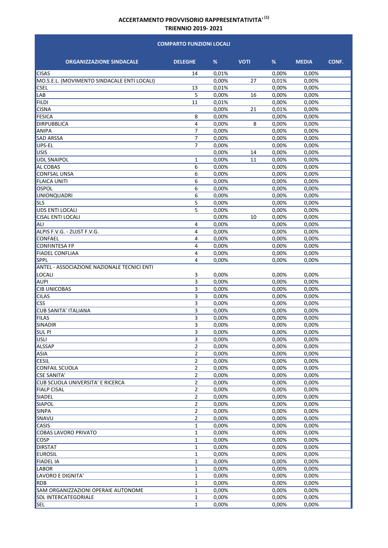#### **COMPARTO FUNZIONI LOCALI**

| <b>ORGANIZZAZIONE SINDACALE</b>             | <b>DELEGHE</b>          | %              | <b>VOTI</b> | %              | <b>MEDIA</b>   | CONF. |
|---------------------------------------------|-------------------------|----------------|-------------|----------------|----------------|-------|
| <b>CISAS</b>                                | 14                      | 0,01%          |             | 0,00%          | 0,00%          |       |
| MO.S.E.L. (MOVIMENTO SINDACALE ENTI LOCALI) |                         | 0,00%          | 27          | 0,01%          | 0,00%          |       |
| <b>CSEL</b>                                 | 13                      | 0,01%          |             | 0,00%          | 0,00%          |       |
| LAB                                         | 5                       | 0,00%          | 16          | 0,00%          | 0,00%          |       |
| <b>FILDI</b>                                | 11                      | 0,01%          |             | 0,00%          | 0,00%          |       |
| <b>CISNA</b>                                |                         | 0,00%          | 21          | 0,01%          | 0,00%          |       |
| <b>FESICA</b>                               | 8                       | 0,00%          |             | 0,00%          | 0,00%          |       |
| <b>DIRPUBBLICA</b>                          | 4                       | 0,00%          | 8           | 0,00%          | 0,00%          |       |
| <b>ANIPA</b>                                | 7                       | 0,00%          |             | 0,00%          | 0,00%          |       |
| <b>SAD ARSSA</b>                            | $\overline{7}$          | 0,00%          |             | 0,00%          | 0,00%          |       |
| UPS-EL                                      | 7                       | 0.00%          |             | 0,00%          | 0,00%          |       |
| <b>USIS</b>                                 |                         | 0,00%          | 14          | 0,00%          | 0,00%          |       |
| <b>UDL SNAIPOL</b>                          | 1                       | 0,00%          | 11          | 0,00%          | 0,00%          |       |
| <b>AL COBAS</b>                             | 6                       | 0,00%          |             | 0,00%          | 0,00%          |       |
| <b>CONFSAL UNSA</b>                         | 6                       | 0,00%          |             | 0,00%          | 0,00%          |       |
| <b>FLAICA UNITI</b>                         | 6                       | 0,00%          |             | 0,00%          | 0,00%          |       |
| OSPOL                                       | 6                       | 0.00%          |             | 0,00%          | 0,00%          |       |
| <b>UNIONQUADRI</b>                          | 6                       | 0,00%          |             | 0,00%          | 0,00%          |       |
| <b>SLS</b>                                  | 5                       | 0,00%          |             | 0,00%          | 0,00%          |       |
| <b>UDS ENTI LOCALI</b>                      | 5                       | 0,00%          |             | 0,00%          | 0,00%          |       |
| <b>CISAL ENTI LOCALI</b>                    |                         | 0,00%          | 10          | 0,00%          | 0,00%          |       |
| ALI                                         | 4                       | 0,00%          |             | 0,00%          | 0,00%          |       |
| ALPIS F.V.G. - ZUJST F.V.G.                 | 4                       | 0,00%          |             | 0,00%          | 0,00%          |       |
| CONFAEL                                     | 4                       | 0,00%          |             | 0.00%          | 0,00%          |       |
| <b>CONFINTESA FP</b>                        | 4                       | 0,00%          |             | 0,00%          | 0,00%          |       |
| <b>FIADEL CONFLIAA</b>                      | 4                       | 0,00%          |             | 0,00%          | 0,00%          |       |
| <b>SPPL</b>                                 | 4                       | 0,00%          |             | 0,00%          | 0,00%          |       |
| ANTEL - ASSOCIAZIONE NAZIONALE TECNICI ENTI |                         |                |             |                |                |       |
| <b>LOCALI</b>                               | 3                       | 0,00%          |             | 0,00%          | 0,00%          |       |
| AUPI                                        | 3                       | 0,00%          |             | 0,00%          | 0,00%          |       |
| <b>CIB UNICOBAS</b>                         | 3                       | 0,00%          |             | 0,00%          | 0,00%          |       |
| <b>CILAS</b>                                | $\overline{\mathbf{3}}$ | 0,00%          |             | 0,00%          | 0,00%          |       |
| <b>CSS</b>                                  | 3                       | 0,00%          |             | 0,00%          | 0,00%          |       |
| <b>CUB SANITA' ITALIANA</b><br><b>FILAS</b> | 3                       | 0,00%          |             | 0,00%          | 0,00%          |       |
|                                             | 3                       | 0,00%          |             | 0,00%          | 0,00%          |       |
| SINADIR                                     | 3                       | 0,00%          |             | 0,00%          | 0.00%          |       |
| <b>SULPI</b>                                | 3<br>3                  | 0,00%          |             | 0,00%          | 0,00%          |       |
| <b>USLI</b><br><b>ALSSAP</b>                | $\overline{2}$          | 0,00%<br>0,00% |             | 0,00%<br>0,00% | 0,00%<br>0,00% |       |
| <b>ASIA</b>                                 | $\overline{2}$          |                |             | 0,00%          |                |       |
| <b>CESIL</b>                                | $\overline{2}$          | 0,00%<br>0,00% |             | 0,00%          | 0,00%<br>0,00% |       |
| <b>CONFAIL SCUOLA</b>                       | $\overline{2}$          | 0,00%          |             | 0,00%          | 0,00%          |       |
| <b>CSE SANITA'</b>                          | $\overline{\mathbf{c}}$ | 0,00%          |             | 0,00%          | 0,00%          |       |
| CUB SCUOLA UNIVERSITA' E RICERCA            | 2                       | 0,00%          |             | 0,00%          | 0,00%          |       |
| <b>FIALP CISAL</b>                          | $\overline{\mathbf{c}}$ | 0,00%          |             | 0,00%          | 0,00%          |       |
| SIADEL                                      | $\mathbf 2$             | 0,00%          |             | 0,00%          | 0,00%          |       |
| SIAPOL                                      | $\mathbf 2$             | 0,00%          |             | 0,00%          | 0,00%          |       |
| <b>SINPA</b>                                | $\overline{2}$          | 0,00%          |             | 0,00%          | 0,00%          |       |
| SNAVU                                       | $\mathbf 2$             | 0,00%          |             | 0,00%          | 0,00%          |       |
| <b>CASIS</b>                                | 1                       | 0,00%          |             | 0,00%          | 0,00%          |       |
| COBAS LAVORO PRIVATO                        | 1                       | 0,00%          |             | 0,00%          | 0,00%          |       |
| <b>COSP</b>                                 | $\mathbf{1}$            | 0,00%          |             | 0,00%          | 0,00%          |       |
| <b>DIRSTAT</b>                              | $\mathbf{1}$            | 0,00%          |             | 0,00%          | 0,00%          |       |
| <b>EUROSIL</b>                              | 1                       | 0,00%          |             | 0,00%          | 0,00%          |       |
| <b>FIADEL IA</b>                            | 1                       | 0,00%          |             | 0,00%          | 0,00%          |       |
| LABOR                                       | $\mathbf 1$             | 0,00%          |             | 0,00%          | 0,00%          |       |
| LAVORO E DIGNITA'                           | $\mathbf{1}$            | 0,00%          |             | 0,00%          | 0,00%          |       |
| <b>RDB</b>                                  | $\mathbf{1}$            | 0,00%          |             | 0,00%          | 0,00%          |       |
| SAM ORGANIZZAZIONI OPERAIE AUTONOME         | $\mathbf{1}$            | 0,00%          |             | 0,00%          | 0,00%          |       |
| <b>SDL INTERCATEGORIALE</b>                 | 1                       | 0,00%          |             | 0,00%          | 0,00%          |       |
| SEL                                         | $\mathbf{1}$            | 0,00%          |             | 0,00%          | 0,00%          |       |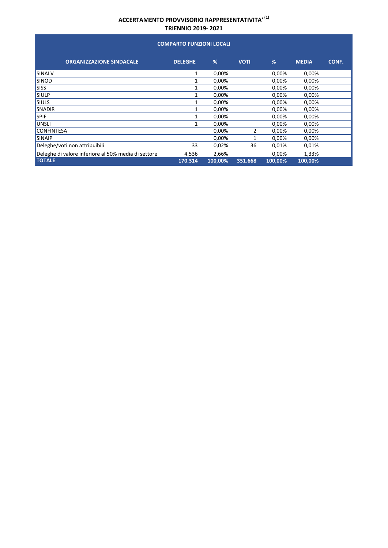#### **COMPARTO FUNZIONI LOCALI**

| <b>ORGANIZZAZIONE SINDACALE</b>                     | <b>DELEGHE</b> | %       | <b>VOTI</b> | %       | <b>MEDIA</b> | CONF. |
|-----------------------------------------------------|----------------|---------|-------------|---------|--------------|-------|
| SINALV                                              | 1              | 0,00%   |             | 0,00%   | 0,00%        |       |
| <b>SINOD</b>                                        |                | 0,00%   |             | 0,00%   | 0,00%        |       |
| <b>SISS</b>                                         |                | 0,00%   |             | 0,00%   | 0,00%        |       |
| <b>SIULP</b>                                        |                | 0,00%   |             | 0,00%   | 0,00%        |       |
| <b>SIULS</b>                                        |                | 0,00%   |             | 0,00%   | 0,00%        |       |
| <b>SNADIR</b>                                       | 1              | 0,00%   |             | 0,00%   | 0,00%        |       |
| <b>SPIF</b>                                         | 1              | 0,00%   |             | 0,00%   | 0,00%        |       |
| UNSLI                                               |                | 0,00%   |             | 0,00%   | 0,00%        |       |
| <b>CONFINTESA</b>                                   |                | 0,00%   | 2           | 0,00%   | 0,00%        |       |
| <b>SINAIP</b>                                       |                | 0,00%   |             | 0,00%   | 0,00%        |       |
| Deleghe/voti non attribuibili                       | 33             | 0,02%   | 36          | 0,01%   | 0,01%        |       |
| Deleghe di valore inferiore al 50% media di settore | 4.536          | 2,66%   |             | 0,00%   | 1,33%        |       |
| <b>TOTALE</b>                                       | 170.314        | 100.00% | 351.668     | 100.00% | 100.00%      |       |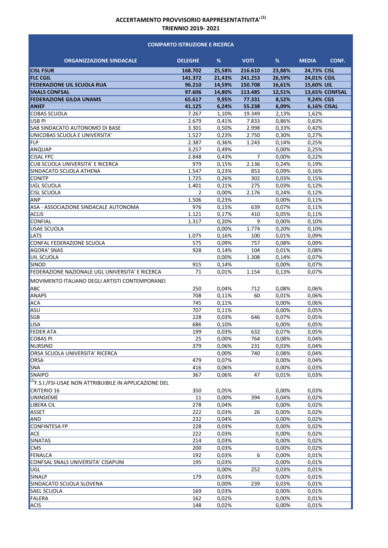#### **COMPARTO ISTRUZIONE E RICERCA**

| <b>ORGANIZZAZIONE SINDACALE</b>                               | <b>DELEGHE</b> | %              | <b>VOTI</b> | %              | <b>MEDIA</b>       | CONF. |
|---------------------------------------------------------------|----------------|----------------|-------------|----------------|--------------------|-------|
| <b>CISL FSUR</b>                                              | 168.702        | 25,58%         | 216.610     | 23.88%         | 24.73% CISL        |       |
| <b>FLC CGIL</b>                                               | 141.372        | 21,43%         | 241.253     | 26,59%         | 24,01% CGIL        |       |
| <b>FEDERAZIONE UIL SCUOLA RUA</b>                             | 96.210         | 14,59%         | 150.708     | 16,61%         | 15,60% UIL         |       |
| <b>SNALS CONFSAL</b>                                          | 97.606         | 14,80%         | 113.485     | 12,51%         | 13,65% CONFSAL     |       |
| <b>FEDERAZIONE GILDA UNAMS</b>                                | 65.617         | 9,95%          | 77.331      | 8,52%          | 9,24% CGS          |       |
| <b>ANIEF</b>                                                  | 41.125         | 6,24%          | 55.238      | 6,09%          | <b>6,16% CISAL</b> |       |
| <b>COBAS SCUOLA</b>                                           | 7.267          | 1,10%          | 19.349      | 2,13%          | 1,62%              |       |
| USB <sub>PI</sub>                                             | 2.679          | 0,41%          | 7.833       | 0,86%          | 0,63%              |       |
| SAB SINDACATO AUTONOMO DI BASE                                | 3.301          | 0,50%          | 2.998       | 0,33%          | 0.42%              |       |
| UNICOBAS SCUOLA E UNIVERSITA'                                 | 1.527          | 0,23%          | 2.750       | 0,30%          | 0,27%              |       |
| FLP                                                           | 2.387          | 0,36%          | 1.243       | 0,14%          | 0,25%              |       |
| ANQUAP                                                        | 3.257          | 0,49%          |             | 0,00%          | 0,25%              |       |
| <b>CISAL FPC</b>                                              | 2.848          | 0,43%          | 7           | 0,00%          | 0,22%              |       |
| CUB SCUOLA UNIVERSITA' E RICERCA                              | 979            | 0,15%          | 2.136       | 0,24%          | 0,19%              |       |
| SINDACATO SCUOLA ATHENA                                       | 1.547          | 0,23%          | 853         | 0,09%          | 0,16%              |       |
| <b>CONITP</b>                                                 | 1.725          | 0,26%          | 302         | 0,03%          | 0,15%              |       |
| <b>UGL SCUOLA</b>                                             | 1.401          | 0,21%          | 275         | 0,03%          | 0,12%              |       |
| <b>CISL SCUOLA</b>                                            | $\overline{2}$ | 0.00%          | 2.176       | 0,24%          | 0,12%              |       |
| ANP                                                           | 1.506          | 0,23%          |             | 0,00%          | 0,11%              |       |
| ASA - ASSOCIAZIONE SINDACALE AUTONOMA<br><b>ACLIS</b>         | 976<br>1.121   | 0,15%<br>0,17% | 639         | 0,07%<br>0.05% | 0,11%              |       |
| <b>CONFIAL</b>                                                | 1.317          | 0,20%          | 410<br>9    | 0,00%          | 0,11%<br>0,10%     |       |
| <b>USAE SCUOLA</b>                                            |                | 0,00%          | 1.774       | 0,20%          | 0,10%              |       |
| LATS                                                          | 1.075          | 0,16%          | 100         | 0,01%          | 0,09%              |       |
| CONFAL FEDERAZIONE SCUOLA                                     | 575            | 0,09%          | 757         | 0,08%          | 0,09%              |       |
| <b>AGORA' SNAS</b>                                            | 928            | 0,14%          | 104         | 0,01%          | 0,08%              |       |
| <b>UIL SCUOLA</b>                                             |                | 0,00%          | 1.308       | 0,14%          | 0,07%              |       |
| <b>SINOD</b>                                                  | 915            | 0,14%          |             | 0,00%          | 0,07%              |       |
| FEDERAZIONE NAZIONALE UGL UNIVERSITA' E RICERCA               | 71             | 0,01%          | 1.154       | 0,13%          | 0,07%              |       |
| MOVIMENTO ITALIANO DEGLI ARTISTI CONTEMPORANEI                |                |                |             |                |                    |       |
| <b>ABC</b>                                                    | 250            | 0,04%          | 712         | 0,08%          | 0,06%              |       |
| <b>ANAPS</b>                                                  | 708            | 0,11%          | 60          | 0,01%          | 0,06%              |       |
| <b>ACA</b>                                                    | 745            | 0.11%          |             | 0,00%          | 0,06%              |       |
| ASU                                                           | 707            | 0.11%          |             | 0,00%          | 0,05%              |       |
| SGB                                                           | 228            | 0,03%          | 646         | 0,07%          | 0,05%              |       |
| <b>LISA</b>                                                   | 686            | 0,10%          |             | 0,00%          | 0.05%              |       |
| <b>FEDER ATA</b>                                              | 199            | 0,03%          | 632         | 0,07%          | 0.05%              |       |
| <b>COBAS PI</b>                                               | 25             | 0,00%          | 764         | 0,08%          | 0,04%              |       |
| NURSIND                                                       | 379            | 0,06%          | 231         | 0,03%          | 0,04%              |       |
| ORSA SCUOLA UNIVERSITA' RICERCA                               |                | 0,00%          | 740         | 0,08%          | 0,04%              |       |
| ORSA                                                          | 479            | 0,07%          |             | 0,00%          | 0,04%              |       |
| SNA                                                           | 416            | 0,06%          |             | 0,00%          | 0,03%              |       |
| <b>SNAIPO</b>                                                 | 367            | 0,06%          | 47          | 0,01%          | 0,03%              |       |
| $^{(2)}$ F.S.I./FSI-USAE NON ATTRIBUIBILE IN APPLICAZIONE DEL |                |                |             |                |                    |       |
| CRITERIO 16                                                   | 350            | 0,05%          |             | 0,00%          | 0,03%              |       |
| UNINSIEME                                                     | 11             | 0,00%          | 394         | 0,04%          | 0,02%              |       |
| <b>LIBERA CIL</b>                                             | 278            | 0,04%          |             | 0,00%          | 0,02%              |       |
| ASSET                                                         | 222            | 0,03%          | 26          | 0,00%          | 0,02%              |       |
| <b>AND</b>                                                    | 232            | 0,04%          |             | 0,00%          | 0,02%              |       |
| <b>CONFINTESA FP</b>                                          | 228            | 0,03%          |             | 0,00%          | 0,02%              |       |
| ACE                                                           | 222            | 0,03%          |             | 0,00%          | 0,02%              |       |
| <b>SINATAS</b>                                                | 214            | 0,03%          |             | 0,00%          | 0,02%              |       |
| <b>CMS</b>                                                    | 200            | 0,03%          |             | 0,00%          | 0,02%              |       |
| <b>FENALCA</b>                                                | 192            | 0,03%          | 6           | 0,00%          | 0,01%              |       |
| CONFSAL SNALS UNIVERSITA' CISAPUNI                            | 195            | 0,03%          |             | 0,00%          | 0,01%              |       |
| UGL                                                           |                | 0,00%          | 252         | 0,03%          | 0,01%              |       |
| SINALP<br>SINDACATO SCUOLA SLOVENA                            | 179            | 0,03%<br>0,00% | 239         | 0,00%<br>0,03% | 0,01%<br>0,01%     |       |
| SAEL SCUOLA                                                   | 169            | 0,03%          |             | 0,00%          | 0,01%              |       |
| <b>FALERA</b>                                                 | 162            | 0,02%          |             | 0,00%          | 0,01%              |       |
| <b>ACIS</b>                                                   | 148            | 0,02%          |             | 0,00%          | 0,01%              |       |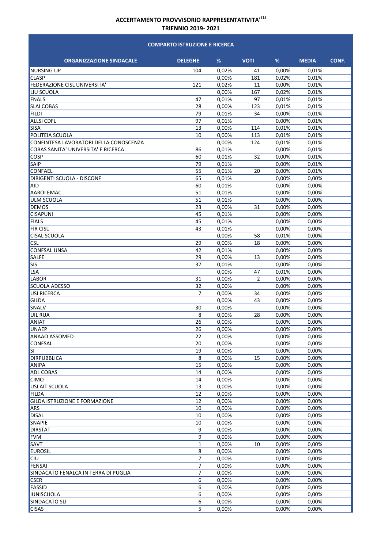#### **COMPARTO ISTRUZIONE E RICERCA**

| <b>ORGANIZZAZIONE SINDACALE</b>        | <b>DELEGHE</b>   | %              | <b>VOTI</b>    | %              | <b>MEDIA</b>   | CONF. |
|----------------------------------------|------------------|----------------|----------------|----------------|----------------|-------|
| <b>NURSING UP</b>                      | 104              | 0,02%          | 41             | 0,00%          | 0,01%          |       |
| <b>CLASP</b>                           |                  | 0,00%          | 181            | 0,02%          | 0,01%          |       |
| FEDERAZIONE CISL UNIVERSITA'           | 121              | 0,02%          | 11             | 0,00%          | 0,01%          |       |
| LIU SCUOLA                             |                  | 0,00%          | 167            | 0,02%          | 0.01%          |       |
| <b>FNALS</b>                           | 47               | 0,01%          | 97             | 0,01%          | 0,01%          |       |
| <b>SLAI COBAS</b>                      | 28               | 0,00%          | 123            | 0,01%          | 0,01%          |       |
| <b>FILDI</b>                           | 79               | 0,01%          | 34             | 0,00%          | 0,01%          |       |
| <b>ALLSI CDFL</b>                      | 97               | 0,01%          |                | 0,00%          | 0.01%          |       |
| SISA                                   | 13               | 0,00%          | 114            | 0,01%          | 0,01%          |       |
| POLITEIA SCUOLA                        | 10               | 0,00%          | 113            | 0,01%          | 0,01%          |       |
| CONFINTESA LAVORATORI DELLA CONOSCENZA |                  | 0,00%          | 124            | 0,01%          | 0,01%          |       |
| COBAS SANITA' UNIVERSITA' E RICERCA    | 86               | 0,01%          |                | 0,00%          | 0,01%          |       |
| <b>COSP</b>                            | 60               | 0,01%          | 32             | 0,00%          | 0,01%          |       |
| SAIP                                   | 79               | 0,01%          |                | 0,00%          | 0,01%          |       |
| CONFAEL                                | 55               | 0,01%          | 20             | 0,00%          | 0,01%          |       |
| <b>DIRIGENTI SCUOLA - DISCONF</b>      | 65               | 0.01%          |                | 0,00%          | 0,00%          |       |
| AID                                    | 60               | 0,01%          |                | 0,00%          | 0,00%          |       |
| <b>AAROI EMAC</b>                      | 51               | 0,01%          |                | 0,00%          | 0,00%          |       |
| <b>ULM SCUOLA</b>                      | 51               | 0,01%          |                | 0,00%          | 0,00%          |       |
| <b>DEMOS</b>                           | 23               | 0,00%          | 31             | 0,00%          | 0,00%          |       |
| <b>CISAPUNI</b>                        | 45               | 0,01%          |                | 0,00%          | 0,00%          |       |
| <b>FIALS</b>                           | 45               | 0,01%          |                | 0,00%          | 0,00%          |       |
| <b>FIR CISL</b>                        | 43               | 0,01%          |                | 0,00%          | 0,00%          |       |
| <b>CISAL SCUOLA</b>                    |                  | 0,00%          | 58             | 0,01%          | 0,00%          |       |
| <b>CSL</b>                             | 29               | 0,00%          | 18             | 0,00%          | 0,00%          |       |
| <b>CONFSAL UNSA</b>                    | 42               | 0,01%          |                | 0,00%          | 0,00%          |       |
| <b>SALFE</b>                           | 29               | 0,00%          | 13             | 0,00%          | 0,00%          |       |
| <b>SIS</b>                             | 37               | 0,01%          |                | 0,00%          | 0,00%          |       |
| <b>LSA</b>                             |                  | 0,00%          | 47             | 0,01%          | 0,00%          |       |
| <b>LABOR</b>                           | 31               | 0,00%          | $\overline{2}$ | 0,00%          | 0,00%          |       |
| <b>SCUOLA ADESSO</b>                   | 32               | 0,00%          |                | 0,00%          | 0,00%          |       |
| <b>USI RICERCA</b><br><b>GILDA</b>     | $\overline{7}$   | 0,00%<br>0,00% | 34<br>43       | 0,00%<br>0,00% | 0,00%<br>0,00% |       |
| SNALV                                  | 30               | 0,00%          |                | 0,00%          | 0,00%          |       |
| UIL RUA                                | 8                | 0,00%          | 28             | 0,00%          | 0,00%          |       |
| ANIAT                                  | 26               | 0,00%          |                | 0,00%          | 0,00%          |       |
| UNAEP                                  | 26               | 0,00%          |                | 0,00%          | 0,00%          |       |
| <b>ANAAO ASSOMED</b>                   | 22               | 0,00%          |                | 0,00%          | 0,00%          |       |
| <b>CONFSAL</b>                         | 20               | 0,00%          |                | 0,00%          | 0,00%          |       |
| <b>SI</b>                              | 19               | 0,00%          |                | 0,00%          | 0,00%          |       |
| <b>DIRPUBBLICA</b>                     | 8                | 0,00%          | 15             | 0,00%          | 0,00%          |       |
| ANIPA                                  | 15               | 0,00%          |                | 0,00%          | 0,00%          |       |
| <b>ADL COBAS</b>                       | 14               | 0,00%          |                | 0,00%          | 0,00%          |       |
| <b>CIMO</b>                            | 14               | 0,00%          |                | 0,00%          | 0,00%          |       |
| USI AIT SCUOLA                         | 13               | 0,00%          |                | 0,00%          | 0,00%          |       |
| <b>FILDA</b>                           | 12               | 0,00%          |                | 0,00%          | 0,00%          |       |
| GILDA ISTRUZIONE E FORMAZIONE          | 12               | 0,00%          |                | 0,00%          | 0,00%          |       |
| <b>ARS</b>                             | 10               | 0,00%          |                | 0,00%          | 0,00%          |       |
| <b>DISAL</b>                           | 10               | 0,00%          |                | 0,00%          | 0,00%          |       |
| SNAPIE                                 | 10               | 0,00%          |                | 0,00%          | 0,00%          |       |
| <b>DIRSTAT</b>                         | 9                | 0,00%          |                | 0,00%          | 0,00%          |       |
| <b>FVM</b>                             | $\boldsymbol{9}$ | 0,00%          |                | 0,00%          | 0,00%          |       |
| SAVT                                   | $\mathbf 1$      | 0,00%          | 10             | 0,00%          | 0,00%          |       |
| <b>EUROSIL</b>                         | 8                | 0,00%          |                | 0,00%          | 0,00%          |       |
| <b>CIU</b>                             | 7                | 0,00%          |                | 0,00%          | 0,00%          |       |
| <b>FENSAI</b>                          | $\overline{7}$   | 0,00%          |                | 0,00%          | 0,00%          |       |
| SINDACATO FENALCA IN TERRA DI PUGLIA   | 7                | 0,00%          |                | 0,00%          | 0,00%          |       |
| <b>CSER</b>                            | 6                | 0,00%          |                | 0,00%          | 0,00%          |       |
| <b>FASSID</b>                          | 6                | 0,00%          |                | 0,00%          | 0,00%          |       |
| <b>IUNISCUOLA</b>                      | 6                | 0,00%          |                | 0,00%          | 0,00%          |       |
| SINDACATO SLI                          | 6                | 0,00%          |                | 0,00%          | 0,00%          |       |
| <b>CISAS</b>                           | 5                | 0,00%          |                | 0,00%          | 0,00%          |       |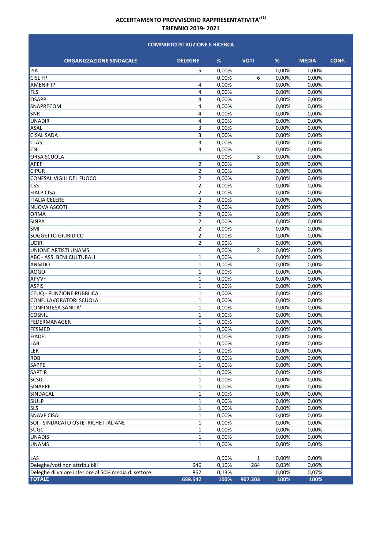#### **COMPARTO ISTRUZIONE E RICERCA**

| <b>ORGANIZZAZIONE SINDACALE</b>                     | <b>DELEGHE</b> | %     | <b>VOTI</b> | %     | <b>MEDIA</b> | CONF. |
|-----------------------------------------------------|----------------|-------|-------------|-------|--------------|-------|
| <b>ISA</b>                                          | 5              | 0,00% |             | 0,00% | 0,00%        |       |
| <b>CISL FP</b>                                      |                | 0,00% | 6           | 0,00% | 0,00%        |       |
| <b>AMENIF IP</b>                                    | 4              | 0,00% |             | 0,00% | 0,00%        |       |
| FLS                                                 | 4              | 0,00% |             | 0,00% | 0,00%        |       |
| <b>OSAPP</b>                                        | 4              | 0,00% |             | 0,00% | 0,00%        |       |
| <b>SNAPRECOM</b>                                    | 4              | 0,00% |             | 0,00% | 0,00%        |       |
| SNR                                                 | 4              | 0,00% |             | 0,00% | 0,00%        |       |
| <b>UNADIR</b>                                       | 4              | 0,00% |             | 0,00% | 0,00%        |       |
| ASAL                                                | 3              | 0,00% |             | 0,00% | 0,00%        |       |
| <b>CISAL SADA</b>                                   | 3              | 0,00% |             | 0,00% | 0,00%        |       |
| <b>CLAS</b>                                         | 3              | 0,00% |             | 0,00% | 0,00%        |       |
| CNL                                                 | 3              | 0,00% |             | 0,00% | 0,00%        |       |
| <b>ORSA SCUOLA</b>                                  |                | 0,00% | 3           | 0,00% | 0,00%        |       |
|                                                     |                | 0,00% |             |       |              |       |
| <b>APEF</b>                                         | $\overline{2}$ |       |             | 0,00% | 0,00%        |       |
| <b>CIPUR</b>                                        | $\overline{2}$ | 0,00% |             | 0,00% | 0,00%        |       |
| CONFSAL VIGILI DEL FUOCO                            | $\overline{2}$ | 0,00% |             | 0,00% | 0,00%        |       |
| <b>CSS</b>                                          | $\overline{2}$ | 0,00% |             | 0,00% | 0,00%        |       |
| <b>FIALP CISAL</b>                                  | $\overline{2}$ | 0,00% |             | 0,00% | 0,00%        |       |
| <b>ITALIA CELERE</b>                                | $\overline{2}$ | 0,00% |             | 0,00% | 0,00%        |       |
| <b>NUOVA ASCOTI</b>                                 | $\overline{2}$ | 0,00% |             | 0,00% | 0,00%        |       |
| ORMA                                                | $\overline{2}$ | 0,00% |             | 0,00% | 0,00%        |       |
| <b>SINPA</b>                                        | $\overline{2}$ | 0,00% |             | 0,00% | 0,00%        |       |
| SMI                                                 | $\overline{2}$ | 0,00% |             | 0,00% | 0,00%        |       |
| SOGGETTO GIURIDICO                                  | $\overline{2}$ | 0,00% |             | 0,00% | 0,00%        |       |
| UDIR                                                | $\overline{2}$ | 0,00% |             | 0,00% | 0,00%        |       |
| UNIONE ARTISTI UNAMS                                |                | 0,00% | 2           | 0,00% | 0,00%        |       |
| <b>ABC - ASS. BENI CULTURALI</b>                    | 1              | 0,00% |             | 0,00% | 0,00%        |       |
| <b>ANMDO</b>                                        | $\mathbf{1}$   | 0,00% |             | 0,00% | 0,00%        |       |
| <b>AOGOI</b>                                        | $\mathbf{1}$   | 0,00% |             | 0,00% | 0,00%        |       |
| <b>APVVF</b>                                        | $\mathbf{1}$   | 0,00% |             | 0,00% | 0,00%        |       |
| <b>ASPIS</b>                                        | $\mathbf{1}$   | 0,00% |             | 0,00% | 0,00%        |       |
| CEUQ - FUNZIONE PUBBLICA                            | $\mathbf{1}$   | 0,00% |             | 0,00% | 0,00%        |       |
| CONF. LAVORATORI SCUOLA                             | 1              | 0,00% |             | 0,00% | 0,00%        |       |
| <b>CONFINTESA SANITA'</b>                           | $\mathbf{1}$   | 0,00% |             | 0,00% | 0,00%        |       |
| <b>COSNIL</b>                                       | $\mathbf{1}$   | 0,00% |             | 0,00% | 0,00%        |       |
| FEDERMANAGER                                        | $\mathbf{1}$   | 0,00% |             | 0,00% | 0,00%        |       |
| FESMED                                              | $\mathbf{1}$   | 0,00% |             | 0,00% | 0,00%        |       |
| <b>FIADEL</b>                                       | $\mathbf{1}$   | 0,00% |             | 0,00% | 0,00%        |       |
| LAB                                                 | 1              | 0,00% |             | 0,00% | 0,00%        |       |
| LER                                                 | 1              | 0,00% |             | 0,00% | 0,00%        |       |
| RDB                                                 | $\mathbf 1$    | 0,00% |             | 0,00% | 0,00%        |       |
| <b>SAPPE</b>                                        | $\mathbf 1$    | 0,00% |             | 0,00% | 0,00%        |       |
| SAPTIR                                              | $\mathbf 1$    | 0,00% |             | 0,00% | 0,00%        |       |
| SCSD                                                | $\mathbf{1}$   | 0,00% |             | 0,00% | 0,00%        |       |
| <b>SINAPPE</b>                                      | $\mathbf 1$    | 0,00% |             | 0,00% | 0,00%        |       |
| SINDACAL                                            | 1              | 0,00% |             | 0,00% | 0,00%        |       |
| <b>SIULP</b>                                        | $\mathbf 1$    | 0,00% |             | 0,00% | 0,00%        |       |
| <b>SLS</b>                                          | $\mathbf 1$    | 0,00% |             | 0,00% | 0,00%        |       |
| <b>SNAVF CISAL</b>                                  | $\mathbf 1$    | 0,00% |             | 0,00% | 0,00%        |       |
| SOI - SINDACATO OSTETRICHE ITALIANE                 | $\mathbf 1$    | 0,00% |             | 0,00% | 0,00%        |       |
| <b>SUGC</b>                                         | $\mathbf 1$    | 0,00% |             | 0,00% | 0,00%        |       |
|                                                     |                |       |             |       |              |       |
| UNADIS                                              | 1              | 0,00% |             | 0,00% | 0,00%        |       |
| <b>UNAMS</b>                                        | $\mathbf{1}$   | 0,00% |             | 0,00% | 0,00%        |       |
| LAS                                                 |                | 0,00% | 1           | 0,00% | 0,00%        |       |
| Deleghe/voti non attribuibili                       | 646            | 0,10% | 284         | 0,03% | 0,06%        |       |
| Deleghe di valore inferiore al 50% media di settore | 862            | 0,13% |             | 0,00% | 0,07%        |       |
| <b>TOTALE</b>                                       | 659.542        | 100%  | 907.203     | 100%  | 100%         |       |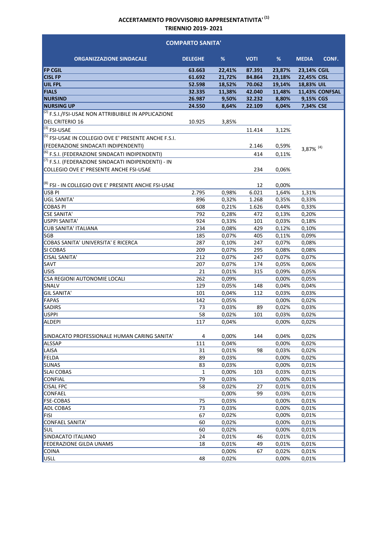| <b>COMPARTO SANITA'</b>                                                   |                |        |             |                |                       |  |
|---------------------------------------------------------------------------|----------------|--------|-------------|----------------|-----------------------|--|
| <b>ORGANIZZAZIONE SINDACALE</b>                                           | <b>DELEGHE</b> | %      | <b>VOTI</b> | %              | <b>MEDIA</b><br>CONF. |  |
| <b>FP CGIL</b>                                                            | 63.663         | 22,41% | 87.391      | 23,87%         | 23,14% CGIL           |  |
| <b>CISL FP</b>                                                            | 61.692         | 21,72% | 84.864      | 23,18%         | 22,45% CISL           |  |
| UIL FPL                                                                   | 52.598         | 18,52% | 70.062      | 19,14%         | 18,83% UIL            |  |
| <b>FIALS</b>                                                              | 32.335         | 11,38% | 42.040      | 11,48%         | 11,43% CONFSAL        |  |
| <b>NURSIND</b>                                                            | 26.987         | 9,50%  | 32.232      | 8,80%          | 9,15% CGS             |  |
| <b>NURSING UP</b>                                                         | 24.550         | 8,64%  | 22.109      | 6,04%          | 7,34% CSE             |  |
| $\overline{^{(2)}}$ F.S.I./FSI-USAE NON ATTRIBUIBILE IN APPLICAZIONE      |                |        |             |                |                       |  |
| <b>DEL CRITERIO 16</b>                                                    | 10.925         | 3,85%  |             |                |                       |  |
| $\sqrt{(3)}$ FSI-USAE                                                     |                |        | 11.414      | 3,12%          |                       |  |
| $^{(5)}$ FSI-USAE IN COLLEGIO OVE E' PRESENTE ANCHE F.S.I.                |                |        |             |                |                       |  |
| (FEDERAZIONE SINDACATI INDIPENDENTI)                                      |                |        | 2.146       | 0,59%          |                       |  |
| <sup>(6)</sup> F.S.I. (FEDERAZION <u>E SINDACATI INDIPENDENTI)</u>        |                |        | 414         | 0,11%          | 3,87% $(4)$           |  |
| <sup>(7)</sup> F.S.I. (FEDERAZIONE SINDACATI INDIPENDENTI) - IN           |                |        |             |                |                       |  |
| COLLEGIO OVE E' PRESENTE ANCHE FSI-USAE                                   |                |        | 234         | 0,06%          |                       |  |
|                                                                           |                |        |             |                |                       |  |
|                                                                           |                |        |             |                |                       |  |
| <sup>(8)</sup> FSI - IN COLLEGIO OVE E' PRESENTE ANCHE FSI-USAE<br>USB PI | 2.795          | 0,98%  | 12<br>6.021 | 0,00%<br>1,64% | 1,31%                 |  |
| <b>UGL SANITA'</b>                                                        | 896            | 0,32%  | 1.268       | 0,35%          | 0,33%                 |  |
| <b>COBAS PI</b>                                                           | 608            | 0,21%  | 1.626       | 0,44%          | 0,33%                 |  |
| <b>CSE SANITA'</b>                                                        | 792            | 0,28%  | 472         | 0,13%          | 0,20%                 |  |
| USPPI SANITA'                                                             | 924            | 0,33%  | 101         | 0,03%          | 0,18%                 |  |
| <b>CUB SANITA' ITALIANA</b>                                               | 234            | 0,08%  | 429         | 0,12%          | 0,10%                 |  |
| <b>SGB</b>                                                                | 185            | 0,07%  | 405         | 0,11%          | 0,09%                 |  |
| COBAS SANITA' UNIVERSITA' E RICERCA                                       | 287            | 0,10%  | 247         | 0,07%          | 0,08%                 |  |
| SI COBAS                                                                  | 209            | 0,07%  | 295         | 0,08%          | 0,08%                 |  |
| <b>CISAL SANITA'</b>                                                      | 212            | 0,07%  | 247         | 0,07%          | 0,07%                 |  |
| SAVT                                                                      | 207            | 0,07%  | 174         | 0,05%          | 0,06%                 |  |
| USIS                                                                      | 21             | 0,01%  | 315         | 0,09%          | 0,05%                 |  |
| CSA REGIONI AUTONOMIE LOCALI                                              | 262            | 0,09%  |             | 0,00%          | 0,05%                 |  |
| SNALV                                                                     | 129            | 0,05%  | 148         | 0,04%          | 0,04%                 |  |
| <b>GIL SANITA'</b>                                                        | 101            | 0,04%  | 112         | 0,03%          | 0,03%                 |  |
| FAPAS                                                                     | 142            | 0,05%  |             | 0,00%          | 0,02%                 |  |
| SADIRS                                                                    | 73             | 0,03%  | 89          | 0,02%          | 0,03%                 |  |
| USPPI                                                                     | 58             | 0,02%  | 101         | 0,03%          | 0,02%                 |  |
| <b>ALDEPI</b>                                                             | 117            | 0,04%  |             | 0,00%          | 0,02%                 |  |
| SINDACATO PROFESSIONALE HUMAN CARING SANITA'                              | 4              | 0,00%  | 144         | 0,04%          | 0,02%                 |  |
| <b>ALSSAP</b>                                                             | 111            | 0,04%  |             | 0,00%          | 0,02%                 |  |
| LAISA                                                                     | 31             | 0,01%  | 98          | 0,03%          | 0,02%                 |  |
| <b>FELDA</b>                                                              | 89             | 0,03%  |             | 0,00%          | 0,02%                 |  |
| <b>SUNAS</b>                                                              | 83             | 0,03%  |             | 0,00%          | 0,01%                 |  |
| <b>SLAI COBAS</b>                                                         | 1              | 0,00%  | 103         | 0,03%          | 0,01%                 |  |
| <b>CONFIAL</b>                                                            | 79             | 0,03%  |             | 0,00%          | 0,01%                 |  |
| <b>CISAL FPC</b>                                                          | 58             | 0,02%  | 27          | 0,01%          | 0,01%                 |  |
| <b>CONFAEL</b>                                                            |                | 0,00%  | 99          | 0,03%          | 0,01%                 |  |
| <b>FSE-COBAS</b>                                                          | 75             | 0,03%  |             | 0,00%          | 0,01%                 |  |
| ADL COBAS                                                                 | 73             | 0,03%  |             | 0,00%          | 0,01%                 |  |
| <b>FISI</b>                                                               | 67             | 0,02%  |             | 0,00%          | 0,01%                 |  |
| <b>CONFAEL SANITA'</b>                                                    | 60             | 0,02%  |             | 0,00%          | 0,01%                 |  |
| <b>SUL</b>                                                                | 60             | 0,02%  |             | 0,00%          | 0,01%                 |  |
| SINDACATO ITALIANO                                                        | 24             | 0,01%  | 46          | 0,01%          | 0,01%                 |  |
| FEDERAZIONE GILDA UNAMS                                                   | 18             | 0,01%  | 49          | 0,01%          | 0,01%                 |  |
| COINA                                                                     |                | 0,00%  | 67          | 0,02%          | 0,01%                 |  |
| <b>USLL</b>                                                               | 48             | 0,02%  |             | 0,00%          | 0,01%                 |  |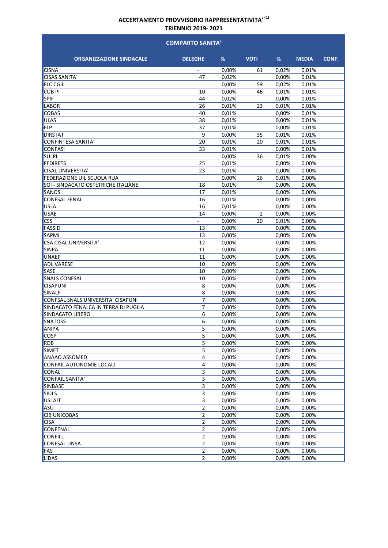| <b>COMPARTO SANITA'</b>              |                          |          |             |       |              |       |  |
|--------------------------------------|--------------------------|----------|-------------|-------|--------------|-------|--|
| <b>ORGANIZZAZIONE SINDACALE</b>      | <b>DELEGHE</b>           | %        | <b>VOTI</b> | %     | <b>MEDIA</b> | CONF. |  |
| <b>CISNA</b>                         | $\overline{\phantom{a}}$ | $0.00\%$ | 61          | 0,02% | 0,01%        |       |  |
| <b>CISAS SANITA'</b>                 | 47                       | 0,02%    |             | 0,00% | 0,01%        |       |  |
| <b>FLC CGIL</b>                      |                          | 0,00%    | 59          | 0,02% | 0,01%        |       |  |
| <b>CUB PI</b>                        | 10                       | 0,00%    | 46          | 0,01% | 0,01%        |       |  |
| SPIF                                 | 44                       | 0,02%    |             | 0,00% | 0,01%        |       |  |
| LABOR                                | 26                       | 0,01%    | 23          | 0,01% | 0,01%        |       |  |
| <b>COBAS</b>                         | 40                       | 0.01%    |             | 0,00% | 0,01%        |       |  |
| <b>ULAS</b>                          | 38                       | 0,01%    |             | 0,00% | 0,01%        |       |  |
| <b>FLP</b>                           | 37                       | 0,01%    |             | 0,00% | 0,01%        |       |  |
| <b>DIRSTAT</b>                       | 9                        | 0,00%    | 35          | 0,01% | 0,01%        |       |  |
| CONFINTESA SANITA'                   | 20                       | 0,01%    | 20          | 0,01% | 0,01%        |       |  |
| <b>CONFASI</b>                       | 33                       | 0,01%    |             | 0,00% | 0,01%        |       |  |
| <b>SULPI</b>                         |                          | 0,00%    | 36          | 0,01% | 0,00%        |       |  |
| <b>FEDIRETS</b>                      | 25                       | 0,01%    |             | 0,00% | 0,00%        |       |  |
| <b>CISAL UNIVERSITA'</b>             | 23                       | 0,01%    |             | 0,00% | 0,00%        |       |  |
| FEDERAZIONE UIL SCUOLA RUA           |                          | 0,00%    | 26          | 0,01% | 0,00%        |       |  |
| SOI - SINDACATO OSTETRICHE ITALIANE  | 18                       | 0,01%    |             | 0,00% | 0,00%        |       |  |
| SANOS                                | 17                       | 0,01%    |             | 0,00% | 0,00%        |       |  |
| <b>CONFSAL FENAL</b>                 | 16                       | 0,01%    |             | 0,00% | 0,00%        |       |  |
| <b>USLA</b>                          | 16                       | 0,01%    |             | 0,00% | 0,00%        |       |  |
| <b>USAE</b>                          | 14                       | 0,00%    | 2           | 0,00% | 0,00%        |       |  |
| <b>CSS</b>                           |                          | 0,00%    | 20          | 0,01% | 0,00%        |       |  |
| FASSID                               | 13                       | 0,00%    |             | 0,00% | 0,00%        |       |  |
| <b>SAPMI</b>                         | 13                       | 0,00%    |             | 0,00% | 0,00%        |       |  |
| CSA CISAL UNIVERSITA'                | 12                       | 0,00%    |             | 0,00% | 0,00%        |       |  |
| <b>SINPA</b>                         | 11                       | 0,00%    |             | 0,00% | 0,00%        |       |  |
| <b>UNAEP</b>                         | 11                       | 0,00%    |             | 0,00% | 0,00%        |       |  |
| <b>ADL VARESE</b>                    | 10                       | 0,00%    |             | 0,00% | 0,00%        |       |  |
| SASE                                 | 10                       | 0,00%    |             | 0,00% | 0,00%        |       |  |
| <b>SNALS CONFSAL</b>                 | 10                       | 0,00%    |             | 0,00% | 0,00%        |       |  |
| <b>CISAPUNI</b>                      | 8                        | 0,00%    |             | 0,00% | 0,00%        |       |  |
| SINALP                               | 8                        | 0,00%    |             | 0.00% | 0,00%        |       |  |
| CONFSAL SNALS UNIVERSITA' CISAPUNI   | 7                        | 0,00%    |             | 0,00% | 0,00%        |       |  |
| SINDACATO FENALCA IN TERRA DI PUGLIA | 7                        | 0,00%    |             | 0,00% | 0,00%        |       |  |
| <b>SINDACATO LIBERO</b>              | 6                        | 0,00%    |             | 0,00% | 0,00%        |       |  |
| <b>SNATOSS</b>                       | 6                        | 0,00%    |             | 0,00% | 0,00%        |       |  |
| <b>ANIPA</b>                         | 5                        | 0,00%    |             | 0,00% | 0,00%        |       |  |
| <b>COSP</b>                          | 5                        | 0,00%    |             | 0,00% | 0,00%        |       |  |
| RDB                                  | 5                        | 0,00%    |             | 0,00% | 0,00%        |       |  |
| <b>SIMET</b>                         | 5                        | 0,00%    |             | 0,00% | 0,00%        |       |  |
| ANAAO ASSOMED                        | 4                        | 0,00%    |             | 0,00% | 0,00%        |       |  |
| CONFAIL AUTONOMIE LOCALI             | 4                        | 0,00%    |             | 0,00% | 0,00%        |       |  |
| <b>CONAL</b>                         | 3                        | 0,00%    |             | 0,00% | 0,00%        |       |  |
| <b>CONFAIL SANITA'</b>               | 3                        | 0,00%    |             | 0,00% | 0,00%        |       |  |
| <b>SINBASE</b>                       | 3                        | 0,00%    |             | 0,00% | 0.00%        |       |  |
| <b>SIULS</b>                         | 3                        | 0,00%    |             | 0,00% | 0,00%        |       |  |
| USI AIT                              | 3                        | 0,00%    |             | 0,00% | 0,00%        |       |  |
| ASU                                  | $\overline{2}$           | 0,00%    |             | 0,00% | 0,00%        |       |  |
| <b>CIB UNICOBAS</b>                  | $\mathbf 2$              | 0,00%    |             | 0,00% | 0,00%        |       |  |
| <b>CISA</b>                          | $\overline{2}$           | 0,00%    |             | 0,00% | 0,00%        |       |  |
| <b>CONFENAL</b>                      | 2                        | 0,00%    |             | 0,00% | 0,00%        |       |  |
| <b>CONFILL</b>                       | $\mathbf 2$              | 0,00%    |             | 0,00% | 0,00%        |       |  |
| <b>CONFSAL UNSA</b>                  | $\overline{2}$           | 0,00%    |             | 0,00% | 0,00%        |       |  |
| FAS                                  | $\overline{2}$           | 0,00%    |             | 0,00% | 0,00%        |       |  |
| <b>LIDAS</b>                         | $\overline{2}$           | 0,00%    |             | 0,00% | 0,00%        |       |  |
|                                      |                          |          |             |       |              |       |  |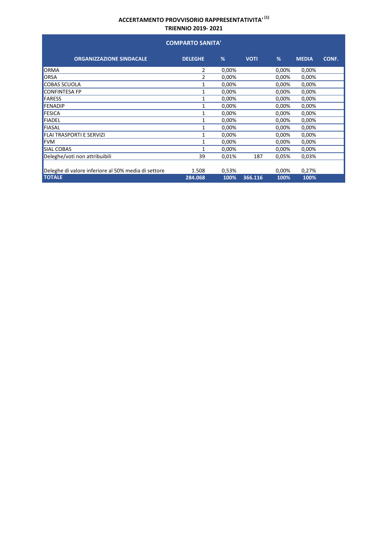| <b>COMPARTO SANITA'</b>                             |                |       |             |       |              |       |  |  |  |
|-----------------------------------------------------|----------------|-------|-------------|-------|--------------|-------|--|--|--|
| <b>ORGANIZZAZIONE SINDACALE</b>                     | <b>DELEGHE</b> | %     | <b>VOTI</b> | %     | <b>MEDIA</b> | CONF. |  |  |  |
| ORMA                                                | 2              | 0,00% |             | 0,00% | 0,00%        |       |  |  |  |
| ORSA                                                | 2              | 0,00% |             | 0,00% | 0,00%        |       |  |  |  |
| <b>COBAS SCUOLA</b>                                 | 1              | 0,00% |             | 0,00% | 0,00%        |       |  |  |  |
| CONFINTESA FP                                       | 1              | 0,00% |             | 0,00% | 0,00%        |       |  |  |  |
| <b>FARESS</b>                                       | 1              | 0,00% |             | 0,00% | 0,00%        |       |  |  |  |
| <b>FENADIP</b>                                      | 1              | 0,00% |             | 0,00% | 0,00%        |       |  |  |  |
| FESICA                                              | 1              | 0,00% |             | 0,00% | 0,00%        |       |  |  |  |
| <b>FIADEL</b>                                       | 1              | 0,00% |             | 0,00% | 0,00%        |       |  |  |  |
| <b>FIASAL</b>                                       | 1              | 0,00% |             | 0,00% | 0,00%        |       |  |  |  |
| FLAI TRASPORTI E SERVIZI                            | 1              | 0,00% |             | 0,00% | 0,00%        |       |  |  |  |
| <b>FVM</b>                                          | 1              | 0,00% |             | 0,00% | 0,00%        |       |  |  |  |
| SIAL COBAS                                          | 1              | 0,00% |             | 0,00% | 0,00%        |       |  |  |  |
| Deleghe/voti non attribuibili                       | 39             | 0,01% | 187         | 0,05% | 0,03%        |       |  |  |  |
| Deleghe di valore inferiore al 50% media di settore | 1.508          | 0,53% |             | 0,00% | 0,27%        |       |  |  |  |
| <b>TOTALE</b>                                       | 284.068        | 100%  | 366.116     | 100%  | 100%         |       |  |  |  |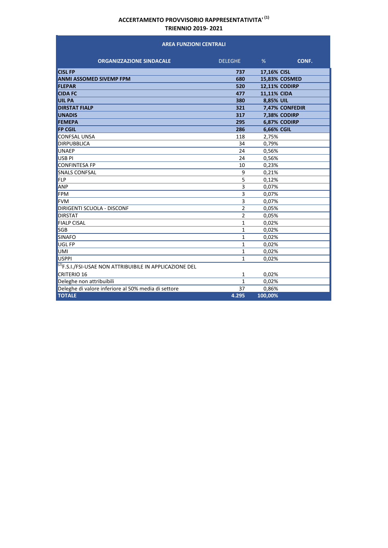#### **AREA FUNZIONI CENTRALI**

| <b>ORGANIZZAZIONE SINDACALE</b>                                | <b>DELEGHE</b> | %                    | CONF. |
|----------------------------------------------------------------|----------------|----------------------|-------|
| <b>CISL FP</b>                                                 | 737            | 17,16% CISL          |       |
| <b>ANMI ASSOMED SIVEMP FPM</b>                                 | 680            | 15,83% COSMED        |       |
| <b>FLEPAR</b>                                                  | 520            | <b>12,11% CODIRP</b> |       |
| <b>CIDA FC</b>                                                 | 477            | <b>11,11% CIDA</b>   |       |
| <b>UIL PA</b>                                                  | 380            | 8,85% UIL            |       |
| <b>DIRSTAT FIALP</b>                                           | 321            | 7,47% CONFEDIR       |       |
| <b>UNADIS</b>                                                  | 317            | 7,38% CODIRP         |       |
| <b>FEMEPA</b>                                                  | 295            | 6,87% CODIRP         |       |
| <b>FP CGIL</b>                                                 | 286            | 6,66% CGIL           |       |
| <b>CONFSAL UNSA</b>                                            | 118            | 2,75%                |       |
| <b>DIRPUBBLICA</b>                                             | 34             | 0,79%                |       |
| <b>UNAEP</b>                                                   | 24             | 0,56%                |       |
| USB <sub>PI</sub>                                              | 24             | 0,56%                |       |
| <b>CONFINTESA FP</b>                                           | 10             | 0,23%                |       |
| <b>SNALS CONFSAL</b>                                           | 9              | 0,21%                |       |
| FLP                                                            | 5              | 0,12%                |       |
| ANP                                                            | 3              | 0,07%                |       |
| <b>FPM</b>                                                     | 3              | 0,07%                |       |
| <b>FVM</b>                                                     | 3              | 0,07%                |       |
| DIRIGENTI SCUOLA - DISCONF                                     | $\overline{2}$ | 0,05%                |       |
| <b>DIRSTAT</b>                                                 | $\overline{2}$ | 0,05%                |       |
| <b>FIALP CISAL</b>                                             | $\mathbf{1}$   | 0,02%                |       |
| <b>SGB</b>                                                     | 1              | 0,02%                |       |
| <b>SINAFO</b>                                                  | 1              | 0,02%                |       |
| UGL FP                                                         | 1              | 0,02%                |       |
| UMI                                                            | 1              | 0,02%                |       |
| USPPI                                                          | $\mathbf{1}$   | 0,02%                |       |
| $ ^{(2)}$ F.S.I./FSI-USAE NON ATTRIBUIBILE IN APPLICAZIONE DEL |                |                      |       |
| <b>CRITERIO 16</b>                                             | 1              | 0,02%                |       |
| Deleghe non attribuibili                                       | $\mathbf{1}$   | 0,02%                |       |
| Deleghe di valore inferiore al 50% media di settore            | 37             | 0,86%                |       |
| <b>TOTALE</b>                                                  | 4.295          | 100,00%              |       |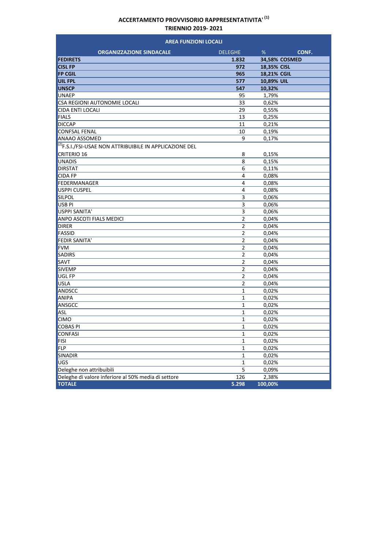| <b>AREA FUNZIONI LOCALI</b>                                    |                |               |       |  |  |  |
|----------------------------------------------------------------|----------------|---------------|-------|--|--|--|
| <b>ORGANIZZAZIONE SINDACALE</b>                                | <b>DELEGHE</b> | %             | CONF. |  |  |  |
| <b>FEDIRETS</b>                                                | 1.832          | 34,58% COSMED |       |  |  |  |
| <b>CISL FP</b>                                                 | 972            | 18,35% CISL   |       |  |  |  |
| <b>FP CGIL</b>                                                 | 965            | 18,21% CGIL   |       |  |  |  |
| <b>UIL FPL</b>                                                 | 577            | 10,89% UIL    |       |  |  |  |
| <b>UNSCP</b>                                                   | 547            | 10,32%        |       |  |  |  |
| <b>UNAEP</b>                                                   | 95             | 1,79%         |       |  |  |  |
| CSA REGIONI AUTONOMIE LOCALI                                   | 33             | 0,62%         |       |  |  |  |
| <b>CIDA ENTI LOCALI</b>                                        | 29             | 0,55%         |       |  |  |  |
| <b>FIALS</b>                                                   | 13             | 0,25%         |       |  |  |  |
| <b>DICCAP</b>                                                  | 11             | 0,21%         |       |  |  |  |
| <b>CONFSAL FENAL</b>                                           | 10             | 0,19%         |       |  |  |  |
| ANAAO ASSOMED                                                  | 9              | 0,17%         |       |  |  |  |
| $ ^{(2)}$ F.S.I./FSI-USAE NON ATTRIBUIBILE IN APPLICAZIONE DEL |                |               |       |  |  |  |
| <b>CRITERIO 16</b>                                             | 8              | 0,15%         |       |  |  |  |
| <b>UNADIS</b>                                                  | 8              | 0,15%         |       |  |  |  |
| DIRSTAT                                                        | 6              | 0,11%         |       |  |  |  |
| <b>CIDA FP</b>                                                 | 4              | 0,08%         |       |  |  |  |
| FEDERMANAGER                                                   | 4              | 0,08%         |       |  |  |  |
| <b>USPPI CUSPEL</b>                                            | 4              | 0,08%         |       |  |  |  |
| <b>SILPOL</b>                                                  | 3              | 0,06%         |       |  |  |  |
| USB <sub>PI</sub>                                              | 3              | 0,06%         |       |  |  |  |
| USPPI SANITA'                                                  | 3              | 0,06%         |       |  |  |  |
| <b>ANPO ASCOTI FIALS MEDICI</b>                                | $\overline{2}$ | 0,04%         |       |  |  |  |
| <b>DIRER</b>                                                   | $\overline{2}$ | 0,04%         |       |  |  |  |
| <b>FASSID</b>                                                  | $\overline{2}$ | 0,04%         |       |  |  |  |
| <b>FEDIR SANITA'</b>                                           | $\overline{2}$ | 0,04%         |       |  |  |  |
| <b>FVM</b>                                                     | $\overline{2}$ | 0,04%         |       |  |  |  |
| <b>SADIRS</b>                                                  | $\overline{2}$ | 0,04%         |       |  |  |  |
| SAVT                                                           | $\overline{2}$ | 0,04%         |       |  |  |  |
| <b>SIVEMP</b>                                                  | $\overline{2}$ | 0,04%         |       |  |  |  |
| UGL FP                                                         | 2              | 0,04%         |       |  |  |  |
| <b>USLA</b>                                                    | $\overline{2}$ | 0,04%         |       |  |  |  |
| ANDSCC                                                         | $\mathbf{1}$   | 0,02%         |       |  |  |  |
| ANIPA                                                          | $\mathbf{1}$   | 0,02%         |       |  |  |  |
| ANSGCC                                                         | 1              | 0,02%         |       |  |  |  |
| ASL                                                            | 1              | 0,02%         |       |  |  |  |
| <b>CIMO</b>                                                    | 1              | 0,02%         |       |  |  |  |
| <b>COBAS PI</b>                                                | 1              | 0,02%         |       |  |  |  |
| <b>CONFASI</b>                                                 | 1              | 0,02%         |       |  |  |  |
| <b>FISI</b>                                                    | $\mathbf{1}$   | 0,02%         |       |  |  |  |
| <b>FLP</b>                                                     | $\mathbf{1}$   | 0,02%         |       |  |  |  |
| SINADIR                                                        | $\mathbf 1$    | 0,02%         |       |  |  |  |
| UGS                                                            | $\mathbf 1$    | 0,02%         |       |  |  |  |
| Deleghe non attribuibili                                       | 5              | 0,09%         |       |  |  |  |
| Deleghe di valore inferiore al 50% media di settore            | 126            | 2,38%         |       |  |  |  |
| <b>TOTALE</b>                                                  | 5.298          | 100,00%       |       |  |  |  |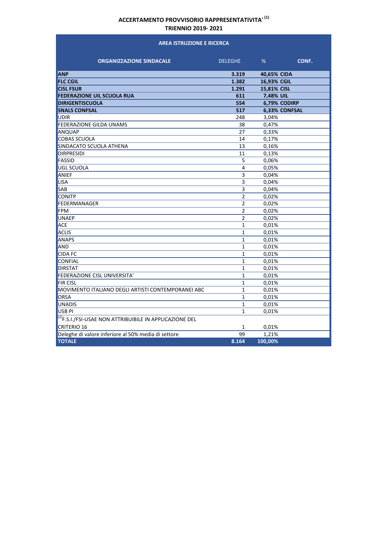#### **AREA ISTRUZIONE E RICERCA**

| <b>ORGANIZZAZIONE SINDACALE</b>                                     | <b>DELEGHE</b> | %           | CONF.         |
|---------------------------------------------------------------------|----------------|-------------|---------------|
|                                                                     |                |             |               |
| <b>ANP</b>                                                          | 3.319          | 40,65% CIDA |               |
| <b>FLC CGIL</b>                                                     | 1.382          | 16,93% CGIL |               |
| <b>CISL FSUR</b>                                                    | 1.291          | 15,81% CISL |               |
| <b>FEDERAZIONE UIL SCUOLA RUA</b>                                   | 611            | 7,48% UIL   |               |
| <b>DIRIGENTISCUOLA</b>                                              | 554            |             | 6,79% CODIRP  |
| <b>SNALS CONFSAL</b>                                                | 517            |             | 6,33% CONFSAL |
| <b>UDIR</b>                                                         | 248            | 3,04%       |               |
| <b>FEDERAZIONE GILDA UNAMS</b>                                      | 38             | 0,47%       |               |
| ANQUAP                                                              | 27             | 0,33%       |               |
| <b>COBAS SCUOLA</b>                                                 | 14             | 0.17%       |               |
| SINDACATO SCUOLA ATHENA                                             | 13             | 0,16%       |               |
| <b>DIRPRESIDI</b>                                                   | 11             | 0,13%       |               |
| <b>FASSID</b>                                                       | 5              | 0.06%       |               |
| UGL SCUOLA                                                          | 4              | 0,05%       |               |
| ANIEF                                                               | 3              | 0,04%       |               |
| <b>LISA</b>                                                         | 3              | 0,04%       |               |
| <b>SAB</b>                                                          | 3              | 0,04%       |               |
| <b>CONITP</b>                                                       | $\overline{2}$ | 0,02%       |               |
| FEDERMANAGER                                                        | $\overline{2}$ | 0,02%       |               |
| <b>FPM</b>                                                          | $\overline{2}$ | 0,02%       |               |
| <b>UNAEP</b>                                                        | 2              | 0,02%       |               |
| <b>ACE</b>                                                          | $\mathbf{1}$   | 0,01%       |               |
| <b>ACLIS</b>                                                        | $\mathbf{1}$   | 0,01%       |               |
| <b>ANAPS</b>                                                        | $\mathbf{1}$   | 0,01%       |               |
| AND                                                                 | $\mathbf{1}$   | 0.01%       |               |
| <b>CIDA FC</b>                                                      | $\mathbf{1}$   | 0,01%       |               |
| <b>CONFIAL</b>                                                      | 1              | 0,01%       |               |
| <b>DIRSTAT</b>                                                      | $\mathbf{1}$   | 0,01%       |               |
| <b>FEDERAZIONE CISL UNIVERSITA'</b>                                 | $\mathbf{1}$   | 0,01%       |               |
| <b>FIR CISL</b>                                                     | 1              | 0,01%       |               |
| MOVIMENTO ITALIANO DEGLI ARTISTI CONTEMPORANEI ABC                  | $\mathbf{1}$   | 0,01%       |               |
| ORSA                                                                | $\mathbf{1}$   | 0,01%       |               |
| <b>UNADIS</b>                                                       | 1              | 0,01%       |               |
| USB <sub>PI</sub>                                                   | $\mathbf{1}$   | 0,01%       |               |
| <sup>(2)</sup> F.S.I./FSI-USAE NON ATTRIBUIBILE IN APPLICAZIONE DEL |                |             |               |
| <b>CRITERIO 16</b>                                                  | 1              | 0,01%       |               |
| Deleghe di valore inferiore al 50% media di settore                 | 99             | 1,21%       |               |
| <b>TOTALE</b>                                                       | 8.164          | 100,00%     |               |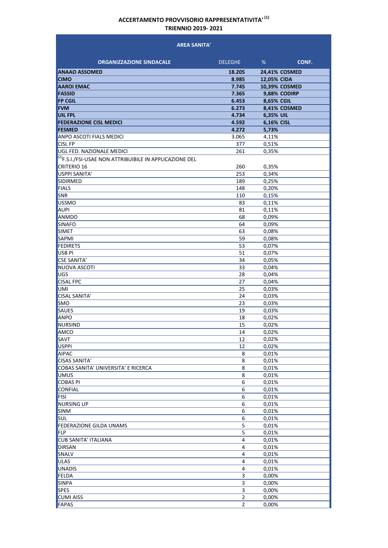#### **AREA SANITA'**

| <b>ORGANIZZAZIONE SINDACALE</b>                                     | <b>DELEGHE</b>          | %           | CONF.                |
|---------------------------------------------------------------------|-------------------------|-------------|----------------------|
| <b>ANAAO ASSOMED</b>                                                | 18.205                  |             | <b>24.41% COSMED</b> |
| <b>CIMO</b>                                                         | 8.985                   | 12,05% CIDA |                      |
| <b>AAROI EMAC</b>                                                   | 7.745                   |             | 10,39% COSMED        |
| <b>FASSID</b>                                                       | 7.365                   |             | 9,88% CODIRP         |
| <b>FP CGIL</b>                                                      | 6.453                   | 8,65% CGIL  |                      |
| <b>FVM</b>                                                          | 6.273                   |             | 8,41% COSMED         |
| <b>UIL FPL</b>                                                      | 4.734                   | 6,35% UIL   |                      |
| <b>FEDERAZIONE CISL MEDICI</b>                                      | 4.592                   | 6,16% CISL  |                      |
| <b>FESMED</b>                                                       | 4.272                   | 5,73%       |                      |
| <b>ANPO ASCOTI FIALS MEDICI</b>                                     | 3.065                   | 4,11%       |                      |
| <b>CISL FP</b>                                                      | 377                     | 0,51%       |                      |
| UGL FED. NAZIONALE MEDICI                                           | 261                     | 0,35%       |                      |
| <sup>(2)</sup> F.S.I./FSI-USAE NON ATTRIBUIBILE IN APPLICAZIONE DEL |                         |             |                      |
| <b>CRITERIO 16</b>                                                  | 260                     | 0,35%       |                      |
| <b>USPPI SANITA'</b>                                                | 253                     | 0,34%       |                      |
| <b>SIDIRMED</b>                                                     | 189                     | 0,25%       |                      |
| <b>FIALS</b>                                                        | 148                     | 0,20%       |                      |
| <b>SNR</b>                                                          | 110                     | 0,15%       |                      |
| <b>USSMO</b>                                                        | 83                      | 0,11%       |                      |
| <b>AUPI</b>                                                         | 81                      | 0,11%       |                      |
| <b>ANMDO</b>                                                        | 68                      | 0,09%       |                      |
| <b>SINAFO</b>                                                       | 64                      | 0,09%       |                      |
| <b>SIMET</b>                                                        | 63                      | 0,08%       |                      |
| <b>SAPMI</b>                                                        | 59                      | 0,08%       |                      |
| <b>FEDIRETS</b>                                                     | 53                      | 0,07%       |                      |
| USB <sub>PI</sub>                                                   | 51                      | 0,07%       |                      |
| <b>CSE SANITA'</b>                                                  | 34                      | 0,05%       |                      |
| NUOVA ASCOTI                                                        | 33                      | 0,04%       |                      |
| UGS                                                                 | 28                      | 0,04%       |                      |
| <b>CISAL FPC</b>                                                    | 27                      | 0,04%       |                      |
| UMI                                                                 | 25                      | 0,03%       |                      |
| <b>CISAL SANITA'</b>                                                | 24                      | 0,03%       |                      |
| <b>SMO</b>                                                          | 23                      | 0,03%       |                      |
| <b>SAUES</b>                                                        | 19                      | 0,03%       |                      |
| <b>ANPO</b>                                                         | 18                      | 0,02%       |                      |
| NURSIND                                                             | 15                      | 0,02%       |                      |
| <b>AMCO</b>                                                         | 14                      | 0,02%       |                      |
| <b>SAVT</b>                                                         | 12                      | 0,02%       |                      |
| USPPI                                                               | 12                      | 0,02%       |                      |
| <b>AIPAC</b>                                                        | 8                       | 0,01%       |                      |
| <b>CISAS SANITA'</b>                                                | 8                       | 0,01%       |                      |
| COBAS SANITA' UNIVERSITA' E RICERCA                                 | 8                       | 0,01%       |                      |
| UMUS                                                                | 8                       | 0,01%       |                      |
| <b>COBAS PI</b>                                                     | 6                       | 0,01%       |                      |
| <b>CONFIAL</b>                                                      | 6                       | 0,01%       |                      |
| <b>FISI</b>                                                         | 6                       | 0,01%       |                      |
| <b>NURSING UP</b>                                                   | 6                       | 0,01%       |                      |
| <b>SINM</b>                                                         | 6                       | 0,01%       |                      |
| <b>SUL</b>                                                          | 6                       | 0,01%       |                      |
| <b>FEDERAZIONE GILDA UNAMS</b>                                      | 5                       | 0,01%       |                      |
| <b>FLP</b>                                                          | 5                       | 0,01%       |                      |
| <b>CUB SANITA' ITALIANA</b>                                         | 4                       | 0,01%       |                      |
| <b>DIRSAN</b>                                                       | 4                       | 0,01%       |                      |
| SNALV                                                               | 4                       | 0,01%       |                      |
| <b>ULAS</b>                                                         | 4                       | 0,01%       |                      |
| UNADIS                                                              | $\overline{\mathbf{4}}$ | 0,01%       |                      |
| FELDA                                                               | 3                       | 0,00%       |                      |
| <b>SINPA</b>                                                        | 3                       | 0,00%       |                      |
| <b>SPES</b>                                                         | 3                       | 0,00%       |                      |
| <b>CUMI AISS</b>                                                    | 2                       | 0,00%       |                      |
| FAPAS                                                               | $\overline{2}$          | 0,00%       |                      |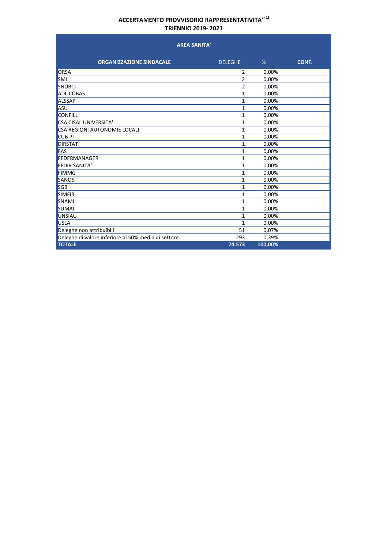| <b>AREA SANITA'</b>                                 |                |         |       |
|-----------------------------------------------------|----------------|---------|-------|
| <b>ORGANIZZAZIONE SINDACALE</b>                     | <b>DELEGHE</b> | %       | CONF. |
| <b>ORSA</b>                                         | 2              | 0,00%   |       |
| <b>SMI</b>                                          | $\overline{2}$ | 0,00%   |       |
| SNUBCI                                              | 2              | 0,00%   |       |
| <b>ADL COBAS</b>                                    | 1              | 0,00%   |       |
| <b>ALSSAP</b>                                       | 1              | 0,00%   |       |
| ASU                                                 | 1              | 0,00%   |       |
| <b>CONFILL</b>                                      | 1              | 0,00%   |       |
| <b>CSA CISAL UNIVERSITA'</b>                        | 1              | 0,00%   |       |
| CSA REGIONI AUTONOMIE LOCALI                        | 1              | 0,00%   |       |
| <b>CUB PI</b>                                       | 1              | 0,00%   |       |
| <b>DIRSTAT</b>                                      | 1              | 0,00%   |       |
| <b>FAS</b>                                          | 1              | 0,00%   |       |
| <b>FEDERMANAGER</b>                                 | 1              | 0,00%   |       |
| <b>FEDIR SANITA'</b>                                | 1              | 0,00%   |       |
| <b>FIMMG</b>                                        | 1              | 0,00%   |       |
| SANOS                                               | 1              | 0,00%   |       |
| <b>SGB</b>                                          | 1              | 0,00%   |       |
| <b>SIMFIR</b>                                       | 1              | 0,00%   |       |
| <b>SNAMI</b>                                        | 1              | 0,00%   |       |
| <b>SUMAI</b>                                        | 1              | 0,00%   |       |
| <b>UNSIAU</b>                                       | 1              | 0,00%   |       |
| <b>USLA</b>                                         | $\mathbf{1}$   | 0,00%   |       |
| Deleghe non attribuibili                            | 51             | 0,07%   |       |
| Deleghe di valore inferiore al 50% media di settore | 293            | 0,39%   |       |
| <b>TOTALE</b>                                       | 74.573         | 100,00% |       |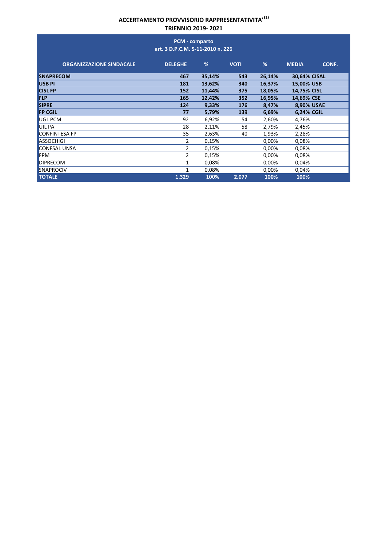|                                 | PCM - comparto<br>art. 3 D.P.C.M. 5-11-2010 n. 226 |        |             |        |                       |
|---------------------------------|----------------------------------------------------|--------|-------------|--------|-----------------------|
| <b>ORGANIZZAZIONE SINDACALE</b> | <b>DELEGHE</b>                                     | %      | <b>VOTI</b> | %      | <b>MEDIA</b><br>CONF. |
| <b>SNAPRECOM</b>                | 467                                                | 35,14% | 543         | 26,14% | 30,64% CISAL          |
| <b>USB PI</b>                   | 181                                                | 13,62% | 340         | 16,37% | 15,00% USB            |
| <b>CISL FP</b>                  | 152                                                | 11,44% | 375         | 18,05% | 14,75% CISL           |
| <b>FLP</b>                      | 165                                                | 12,42% | 352         | 16,95% | 14,69% CSE            |
| <b>SIPRE</b>                    | 124                                                | 9,33%  | 176         | 8,47%  | 8,90% USAE            |
| <b>FP CGIL</b>                  | 77                                                 | 5,79%  | 139         | 6,69%  | 6,24% CGIL            |
| UGL PCM                         | 92                                                 | 6,92%  | 54          | 2,60%  | 4,76%                 |
| UIL PA                          | 28                                                 | 2,11%  | 58          | 2,79%  | 2,45%                 |
| <b>CONFINTESA FP</b>            | 35                                                 | 2,63%  | 40          | 1,93%  | 2,28%                 |
| <b>ASSOCHIGI</b>                | 2                                                  | 0,15%  |             | 0,00%  | 0,08%                 |
| <b>CONFSAL UNSA</b>             | 2                                                  | 0,15%  |             | 0,00%  | 0,08%                 |
| <b>FPM</b>                      | 2                                                  | 0,15%  |             | 0,00%  | 0,08%                 |
| <b>DIPRECOM</b>                 | 1                                                  | 0,08%  |             | 0,00%  | 0,04%                 |
| <b>SNAPROCIV</b>                | 1                                                  | 0,08%  |             | 0,00%  | 0,04%                 |
| <b>TOTALE</b>                   | 1.329                                              | 100%   | 2.077       | 100%   | 100%                  |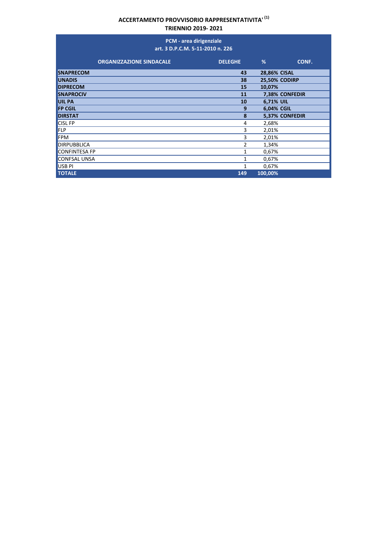|                      |                                 | PCM - area dirigenziale<br>art. 3 D.P.C.M. 5-11-2010 n. 226 |                      |                |
|----------------------|---------------------------------|-------------------------------------------------------------|----------------------|----------------|
|                      | <b>ORGANIZZAZIONE SINDACALE</b> | <b>DELEGHE</b>                                              | %                    | CONF.          |
| <b>SNAPRECOM</b>     |                                 | 43                                                          | <b>28,86% CISAL</b>  |                |
| <b>UNADIS</b>        |                                 | 38                                                          | <b>25,50% CODIRP</b> |                |
| <b>DIPRECOM</b>      |                                 | 15                                                          | 10,07%               |                |
| <b>SNAPROCIV</b>     |                                 | 11                                                          |                      | 7,38% CONFEDIR |
| <b>UIL PA</b>        |                                 | 10                                                          | 6,71% UIL            |                |
| <b>FP CGIL</b>       |                                 | 9                                                           | 6,04% CGIL           |                |
| <b>DIRSTAT</b>       |                                 | 8                                                           |                      | 5,37% CONFEDIR |
| <b>CISL FP</b>       |                                 | 4                                                           | 2,68%                |                |
| FLP                  |                                 | 3                                                           | 2,01%                |                |
| <b>FPM</b>           |                                 | 3                                                           | 2,01%                |                |
| <b>DIRPUBBLICA</b>   |                                 | 2                                                           | 1,34%                |                |
| <b>CONFINTESA FP</b> |                                 | 1                                                           | 0,67%                |                |
| <b>CONFSAL UNSA</b>  |                                 | 1                                                           | 0,67%                |                |
| USB <sub>PI</sub>    |                                 | 1                                                           | 0,67%                |                |
| <b>TOTALE</b>        |                                 | 149                                                         | 100,00%              |                |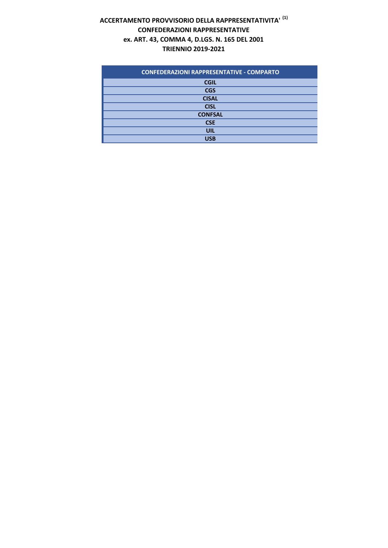# **ACCERTAMENTO PROVVISORIO DELLA RAPPRESENTATIVITA' (1) CONFEDERAZIONI RAPPRESENTATIVE ex. ART. 43, COMMA 4, D.LGS. N. 165 DEL 2001 TRIENNIO 2019‐2021**

| <b>CONFEDERAZIONI RAPPRESENTATIVE - COMPARTO</b> |
|--------------------------------------------------|
| <b>CGIL</b>                                      |
| <b>CGS</b>                                       |
| <b>CISAL</b>                                     |
| <b>CISL</b>                                      |
| <b>CONFSAL</b>                                   |
| <b>CSE</b>                                       |
| <b>UIL</b>                                       |
| USB                                              |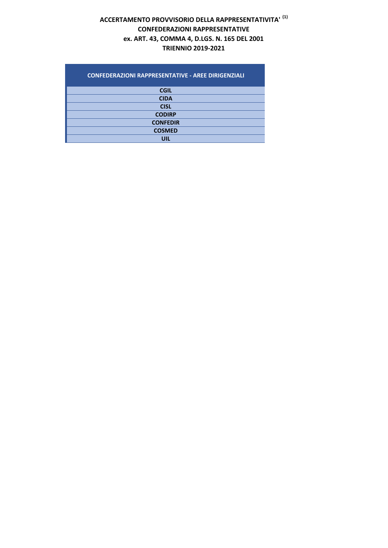# **ACCERTAMENTO PROVVISORIO DELLA RAPPRESENTATIVITA' (1) CONFEDERAZIONI RAPPRESENTATIVE ex. ART. 43, COMMA 4, D.LGS. N. 165 DEL 2001 TRIENNIO 2019‐2021**

| <b>CONFEDERAZIONI RAPPRESENTATIVE - AREE DIRIGENZIALI</b> |
|-----------------------------------------------------------|
| <b>CGIL</b>                                               |
| <b>CIDA</b>                                               |
| <b>CISL</b>                                               |
| <b>CODIRP</b>                                             |
| <b>CONFEDIR</b>                                           |
| <b>COSMED</b>                                             |
| UIL                                                       |